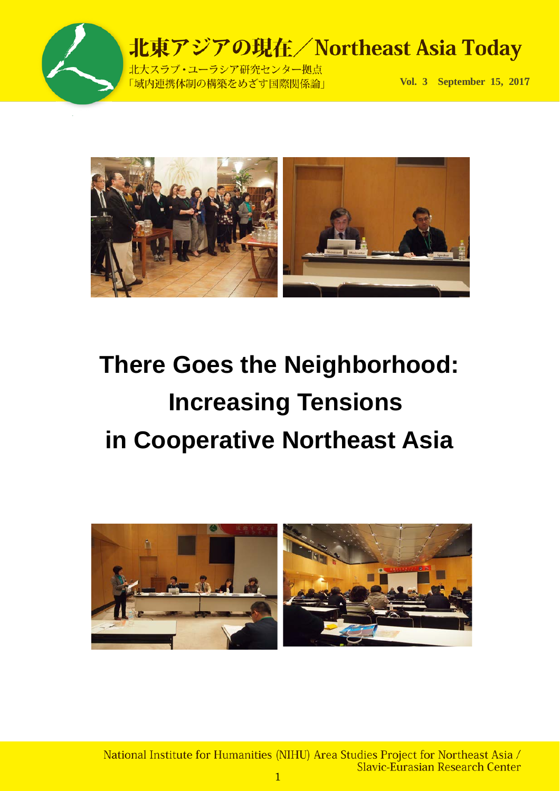

北大スラブ·ユーラシア研究センター拠点 「域内連携体制の構築をめざす国際関係論」

**Vol. 3 September 15, 201**7



# **There Goes the Neighborhood: Increasing Tensions in Cooperative Northeast Asia**



National Institute for Humanities (NIHU) Area Studies Project for Northeast Asia / Slavic-Eurasian Research Center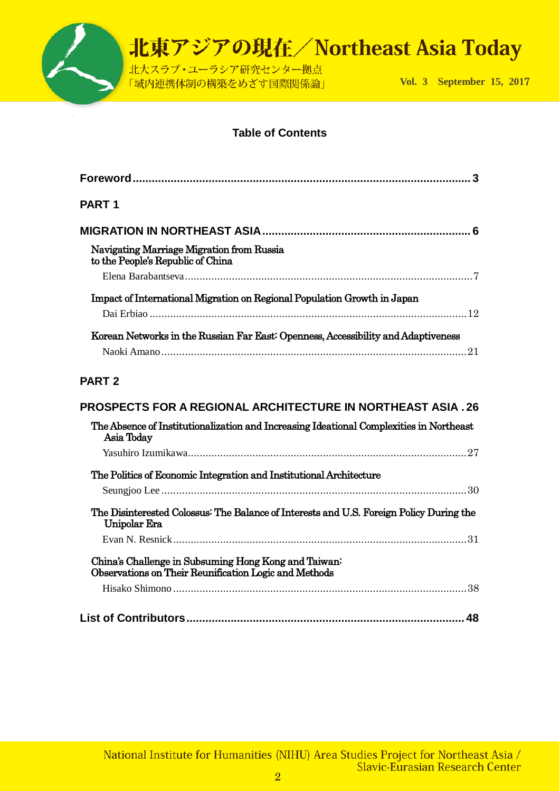

### **Table of Contents**

| 3                                                                                                                                                                            |
|------------------------------------------------------------------------------------------------------------------------------------------------------------------------------|
| <b>PART 1</b>                                                                                                                                                                |
|                                                                                                                                                                              |
| Navigating Marriage Migration from Russia<br>to the People's Republic of China                                                                                               |
|                                                                                                                                                                              |
| Impact of International Migration on Regional Population Growth in Japan                                                                                                     |
|                                                                                                                                                                              |
| Korean Networks in the Russian Far East: Openness, Accessibility and Adaptiveness                                                                                            |
|                                                                                                                                                                              |
|                                                                                                                                                                              |
| <b>PROSPECTS FOR A REGIONAL ARCHITECTURE IN NORTHEAST ASIA . 26</b><br>The Absence of Institutionalization and Increasing Ideational Complexities in Northeast<br>Asia Today |
|                                                                                                                                                                              |
|                                                                                                                                                                              |
| The Politics of Economic Integration and Institutional Architecture                                                                                                          |
| The Disinterested Colossus: The Balance of Interests and U.S. Foreign Policy During the<br><b>Unipolar Era</b>                                                               |
|                                                                                                                                                                              |
| China's Challenge in Subsuming Hong Kong and Taiwan:<br>Observations on Their Reunification Logic and Methods                                                                |
|                                                                                                                                                                              |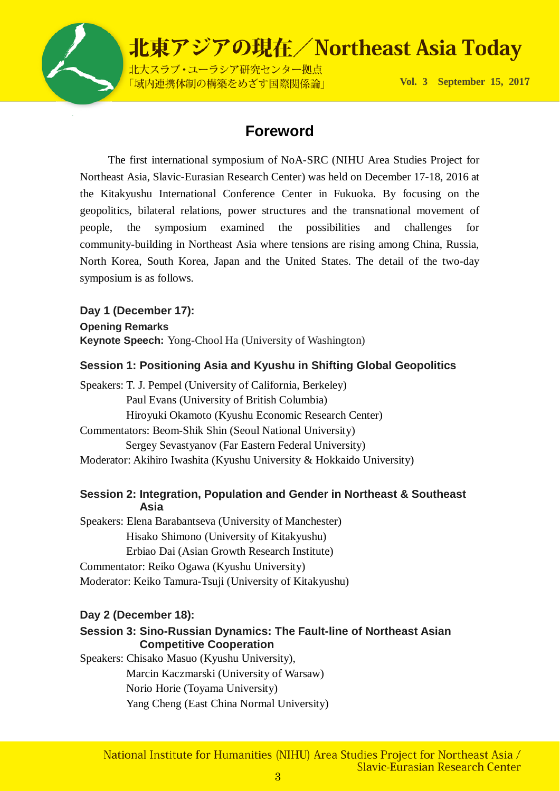

### **Foreword**

 The first international symposium of NoA-SRC (NIHU Area Studies Project for Northeast Asia, Slavic-Eurasian Research Center) was held on December 17-18, 2016 at the Kitakyushu International Conference Center in Fukuoka. By focusing on the geopolitics, bilateral relations, power structures and the transnational movement of people, the symposium examined the possibilities and challenges for community-building in Northeast Asia where tensions are rising among China, Russia, North Korea, South Korea, Japan and the United States. The detail of the two-day symposium is as follows.

**Day 1 (December 17): Opening Remarks Keynote Speech:** Yong-Chool Ha (University of Washington)

### **Session 1: Positioning Asia and Kyushu in Shifting Global Geopolitics**

Speakers: T. J. Pempel (University of California, Berkeley) Paul Evans (University of British Columbia) Hiroyuki Okamoto (Kyushu Economic Research Center) Commentators: Beom-Shik Shin (Seoul National University) Sergey Sevastyanov (Far Eastern Federal University) Moderator: Akihiro Iwashita (Kyushu University & Hokkaido University)

### **Session 2: Integration, Population and Gender in Northeast & Southeast Asia**

Speakers: Elena Barabantseva (University of Manchester) Hisako Shimono (University of Kitakyushu) Erbiao Dai (Asian Growth Research Institute) Commentator: Reiko Ogawa (Kyushu University) Moderator: Keiko Tamura-Tsuji (University of Kitakyushu)

#### **Day 2 (December 18):**

### **Session 3: Sino-Russian Dynamics: The Fault-line of Northeast Asian Competitive Cooperation**

Speakers: Chisako Masuo (Kyushu University), Marcin Kaczmarski (University of Warsaw) Norio Horie (Toyama University) Yang Cheng (East China Normal University)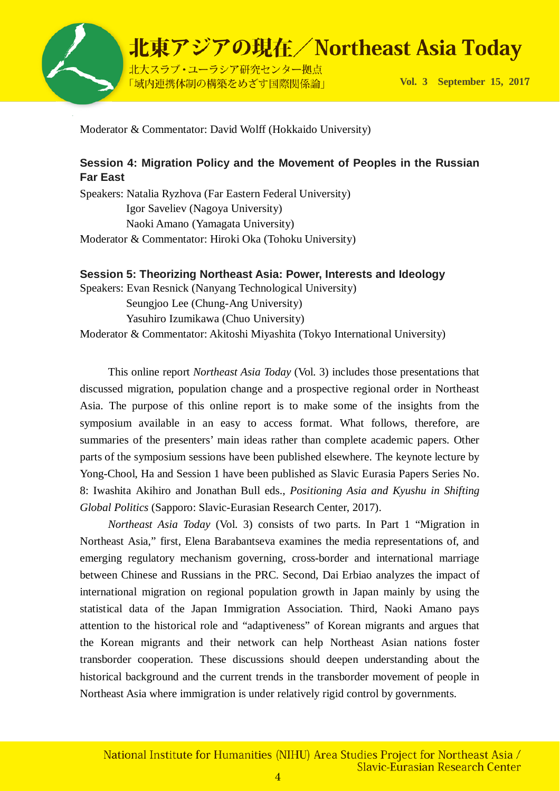

Moderator & Commentator: David Wolff (Hokkaido University)

### **Session 4: Migration Policy and the Movement of Peoples in the Russian Far East**

Speakers: Natalia Ryzhova (Far Eastern Federal University) Igor Saveliev (Nagoya University) Naoki Amano (Yamagata University) Moderator & Commentator: Hiroki Oka (Tohoku University)

### **Session 5: Theorizing Northeast Asia: Power, Interests and Ideology**

Speakers: Evan Resnick (Nanyang Technological University) Seungjoo Lee (Chung-Ang University) Yasuhiro Izumikawa (Chuo University)

Moderator & Commentator: Akitoshi Miyashita (Tokyo International University)

 This online report *Northeast Asia Today* (Vol. 3) includes those presentations that discussed migration, population change and a prospective regional order in Northeast Asia. The purpose of this online report is to make some of the insights from the symposium available in an easy to access format. What follows, therefore, are summaries of the presenters' main ideas rather than complete academic papers. Other parts of the symposium sessions have been published elsewhere. The keynote lecture by Yong-Chool, Ha and Session 1 have been published as Slavic Eurasia Papers Series No. 8: Iwashita Akihiro and Jonathan Bull eds., *Positioning Asia and Kyushu in Shifting Global Politics* (Sapporo: Slavic-Eurasian Research Center, 2017).

*Northeast Asia Today* (Vol. 3) consists of two parts. In Part 1 "Migration in Northeast Asia," first, Elena Barabantseva examines the media representations of, and emerging regulatory mechanism governing, cross-border and international marriage between Chinese and Russians in the PRC. Second, Dai Erbiao analyzes the impact of international migration on regional population growth in Japan mainly by using the statistical data of the Japan Immigration Association. Third, Naoki Amano pays attention to the historical role and "adaptiveness" of Korean migrants and argues that the Korean migrants and their network can help Northeast Asian nations foster transborder cooperation. These discussions should deepen understanding about the historical background and the current trends in the transborder movement of people in Northeast Asia where immigration is under relatively rigid control by governments.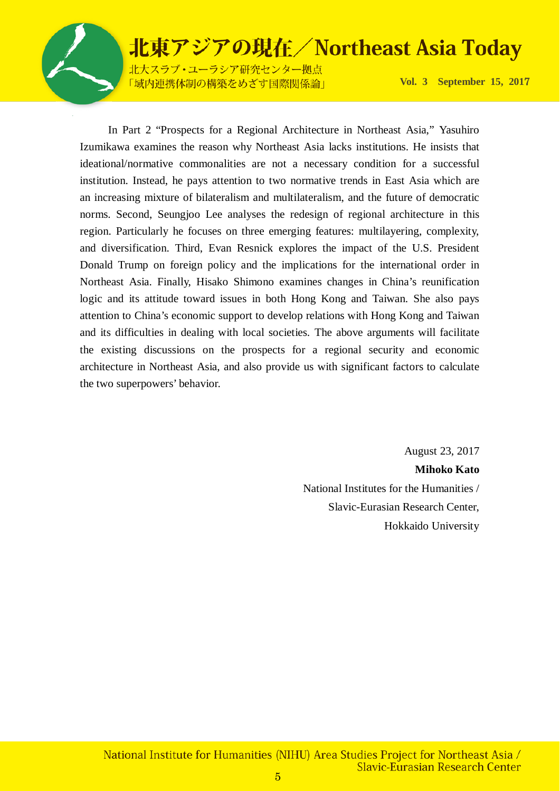

北大スラブ·ユーラシア研究センター拠点 「域内連携体制の構築をめざす国際関係論」

**Vol. 3 September 15, 201**7

 In Part 2 "Prospects for a Regional Architecture in Northeast Asia," Yasuhiro Izumikawa examines the reason why Northeast Asia lacks institutions. He insists that ideational/normative commonalities are not a necessary condition for a successful institution. Instead, he pays attention to two normative trends in East Asia which are an increasing mixture of bilateralism and multilateralism, and the future of democratic norms. Second, Seungjoo Lee analyses the redesign of regional architecture in this region. Particularly he focuses on three emerging features: multilayering, complexity, and diversification. Third, Evan Resnick explores the impact of the U.S. President Donald Trump on foreign policy and the implications for the international order in Northeast Asia. Finally, Hisako Shimono examines changes in China's reunification logic and its attitude toward issues in both Hong Kong and Taiwan. She also pays attention to China's economic support to develop relations with Hong Kong and Taiwan and its difficulties in dealing with local societies. The above arguments will facilitate the existing discussions on the prospects for a regional security and economic architecture in Northeast Asia, and also provide us with significant factors to calculate the two superpowers' behavior.

> August 23, 2017 **Mihoko Kato** National Institutes for the Humanities / Slavic-Eurasian Research Center, Hokkaido University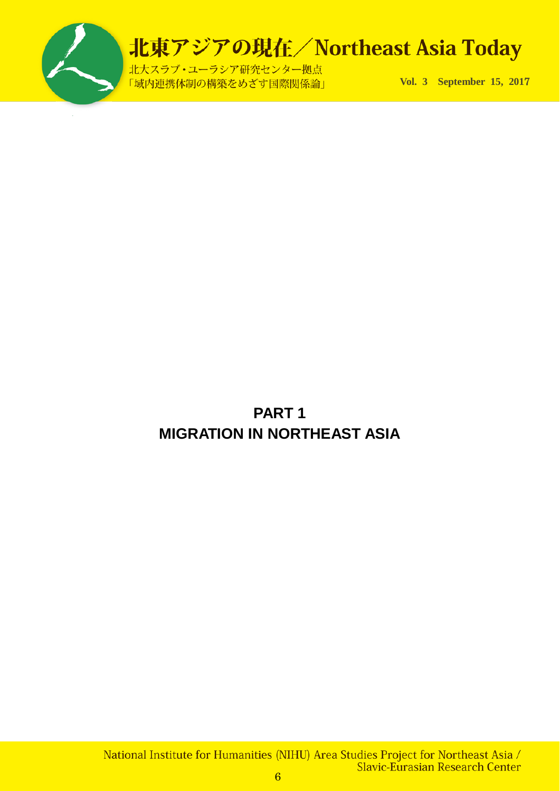

北大スラブ·ユーラシア研究センター拠点 「域内連携体制の構築をめざす国際関係論」

**Vol. 3 September 15, 201**7

### **PART 1 MIGRATION IN NORTHEAST ASIA**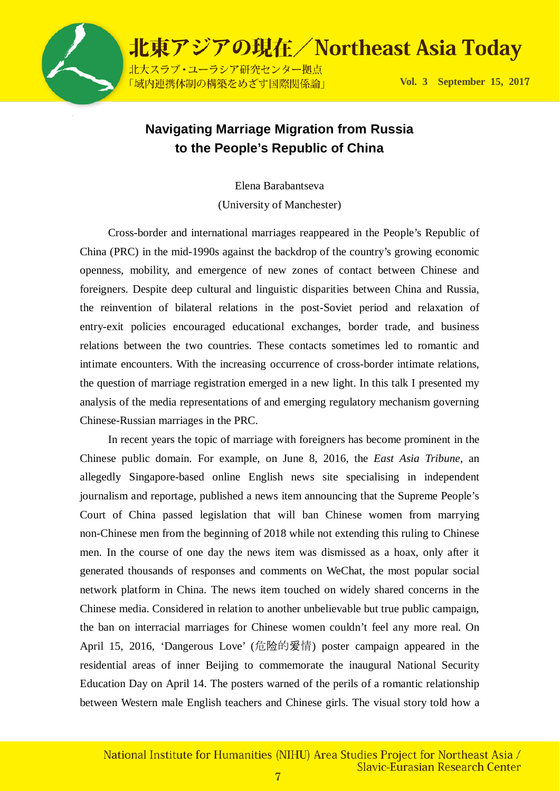

### **Navigating Marriage Migration from Russia to the People's Republic of China**

Elena Barabantseva

(University of Manchester)

Cross-border and international marriages reappeared in the People's Republic of China (PRC) in the mid-1990s against the backdrop of the country's growing economic openness, mobility, and emergence of new zones of contact between Chinese and foreigners. Despite deep cultural and linguistic disparities between China and Russia, the reinvention of bilateral relations in the post-Soviet period and relaxation of entry-exit policies encouraged educational exchanges, border trade, and business relations between the two countries. These contacts sometimes led to romantic and intimate encounters. With the increasing occurrence of cross-border intimate relations, the question of marriage registration emerged in a new light. In this talk I presented my analysis of the media representations of and emerging regulatory mechanism governing Chinese-Russian marriages in the PRC.

In recent years the topic of marriage with foreigners has become prominent in the Chinese public domain. For example, on June 8, 2016, the *East Asia Tribune*, an allegedly Singapore-based online English news site specialising in independent journalism and reportage, published a news item announcing that the Supreme People's Court of China passed legislation that will ban Chinese women from marrying non-Chinese men from the beginning of 2018 while not extending this ruling to Chinese men. In the course of one day the news item was dismissed as a hoax, only after it generated thousands of responses and comments on WeChat, the most popular social network platform in China. The news item touched on widely shared concerns in the Chinese media. Considered in relation to another unbelievable but true public campaign, the ban on interracial marriages for Chinese women couldn't feel any more real. On April 15, 2016, 'Dangerous Love' (危险的爱情) poster campaign appeared in the residential areas of inner Beijing to commemorate the inaugural National Security Education Day on April 14. The posters warned of the perils of a romantic relationship between Western male English teachers and Chinese girls. The visual story told how a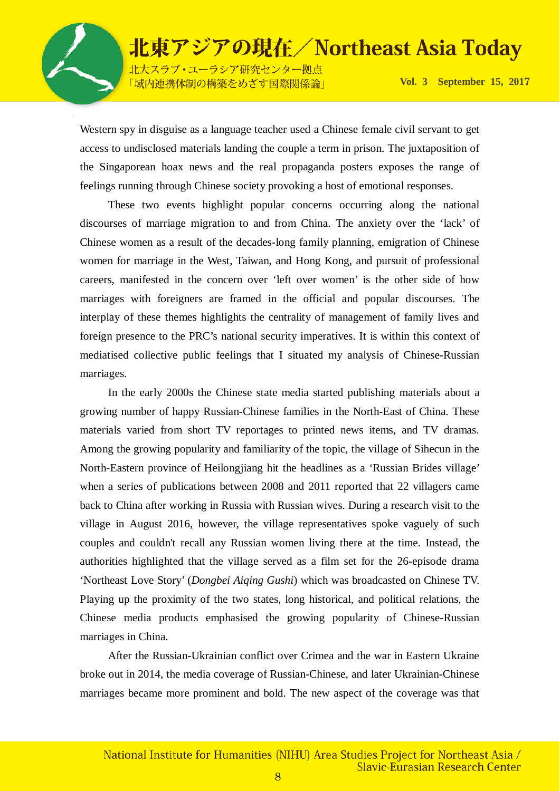

北大スラブ·ユーラシア研究センター拠点 「域内連携体制の構築をめざす国際関係論」

**Vol. 3 September 15, 201**7

Western spy in disguise as a language teacher used a Chinese female civil servant to get access to undisclosed materials landing the couple a term in prison. The juxtaposition of the Singaporean hoax news and the real propaganda posters exposes the range of feelings running through Chinese society provoking a host of emotional responses.

These two events highlight popular concerns occurring along the national discourses of marriage migration to and from China. The anxiety over the 'lack' of Chinese women as a result of the decades-long family planning, emigration of Chinese women for marriage in the West, Taiwan, and Hong Kong, and pursuit of professional careers, manifested in the concern over 'left over women' is the other side of how marriages with foreigners are framed in the official and popular discourses. The interplay of these themes highlights the centrality of management of family lives and foreign presence to the PRC's national security imperatives. It is within this context of mediatised collective public feelings that I situated my analysis of Chinese-Russian marriages.

In the early 2000s the Chinese state media started publishing materials about a growing number of happy Russian-Chinese families in the North-East of China. These materials varied from short TV reportages to printed news items, and TV dramas. Among the growing popularity and familiarity of the topic, the village of Sihecun in the North-Eastern province of Heilongjiang hit the headlines as a 'Russian Brides village' when a series of publications between 2008 and 2011 reported that 22 villagers came back to China after working in Russia with Russian wives. During a research visit to the village in August 2016, however, the village representatives spoke vaguely of such couples and couldn't recall any Russian women living there at the time. Instead, the authorities highlighted that the village served as a film set for the 26-episode drama 'Northeast Love Story' (*Dongbei Aiqing Gushi*) which was broadcasted on Chinese TV. Playing up the proximity of the two states, long historical, and political relations, the Chinese media products emphasised the growing popularity of Chinese-Russian marriages in China.

After the Russian-Ukrainian conflict over Crimea and the war in Eastern Ukraine broke out in 2014, the media coverage of Russian-Chinese, and later Ukrainian-Chinese marriages became more prominent and bold. The new aspect of the coverage was that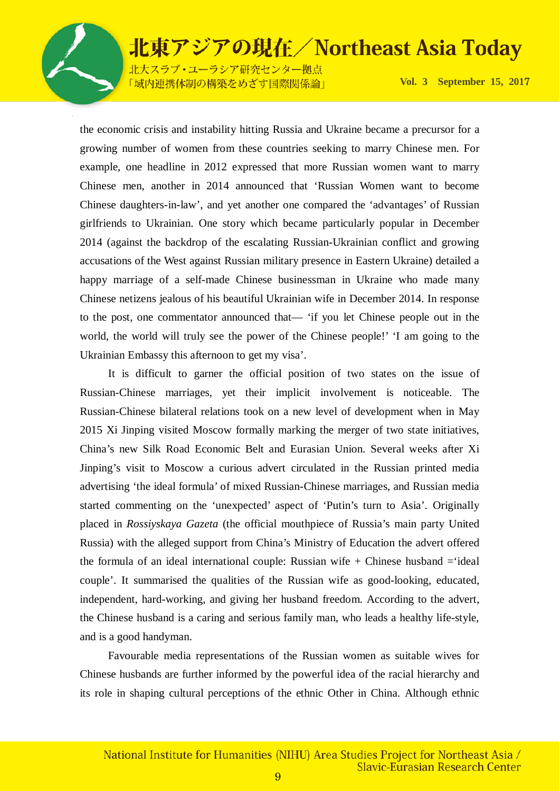北大スラブ·ユーラシア研究センター拠点 「域内連携体制の構築をめざす国際関係論」

**Vol. 3 September 15, 201**7

the economic crisis and instability hitting Russia and Ukraine became a precursor for a growing number of women from these countries seeking to marry Chinese men. For example, one headline in 2012 expressed that more Russian women want to marry Chinese men, another in 2014 announced that 'Russian Women want to become Chinese daughters-in-law', and yet another one compared the 'advantages' of Russian girlfriends to Ukrainian. One story which became particularly popular in December 2014 (against the backdrop of the escalating Russian-Ukrainian conflict and growing accusations of the West against Russian military presence in Eastern Ukraine) detailed a happy marriage of a self-made Chinese businessman in Ukraine who made many Chinese netizens jealous of his beautiful Ukrainian wife in December 2014. In response to the post, one commentator announced that— 'if you let Chinese people out in the world, the world will truly see the power of the Chinese people!' 'I am going to the Ukrainian Embassy this afternoon to get my visa'.

It is difficult to garner the official position of two states on the issue of Russian-Chinese marriages, yet their implicit involvement is noticeable. The Russian-Chinese bilateral relations took on a new level of development when in May 2015 Xi Jinping visited Moscow formally marking the merger of two state initiatives, China's new Silk Road Economic Belt and Eurasian Union. Several weeks after Xi Jinping's visit to Moscow a curious advert circulated in the Russian printed media advertising 'the ideal formula' of mixed Russian-Chinese marriages, and Russian media started commenting on the 'unexpected' aspect of 'Putin's turn to Asia'. Originally placed in *Rossiyskaya Gazeta* (the official mouthpiece of Russia's main party United Russia) with the alleged support from China's Ministry of Education the advert offered the formula of an ideal international couple: Russian wife  $+$  Chinese husband  $=$ 'ideal couple'. It summarised the qualities of the Russian wife as good-looking, educated, independent, hard-working, and giving her husband freedom. According to the advert, the Chinese husband is a caring and serious family man, who leads a healthy life-style, and is a good handyman.

Favourable media representations of the Russian women as suitable wives for Chinese husbands are further informed by the powerful idea of the racial hierarchy and its role in shaping cultural perceptions of the ethnic Other in China. Although ethnic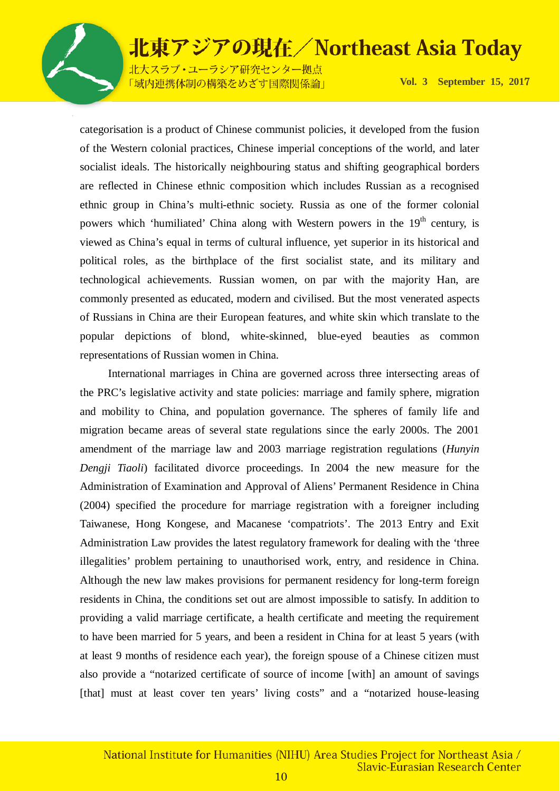

北大スラブ·ユーラシア研究センター拠点 「域内連携体制の構築をめざす国際関係論」

**Vol. 3 September 15, 201**7

categorisation is a product of Chinese communist policies, it developed from the fusion of the Western colonial practices, Chinese imperial conceptions of the world, and later socialist ideals. The historically neighbouring status and shifting geographical borders are reflected in Chinese ethnic composition which includes Russian as a recognised ethnic group in China's multi-ethnic society. Russia as one of the former colonial powers which 'humiliated' China along with Western powers in the  $19<sup>th</sup>$  century, is viewed as China's equal in terms of cultural influence, yet superior in its historical and political roles, as the birthplace of the first socialist state, and its military and technological achievements. Russian women, on par with the majority Han, are commonly presented as educated, modern and civilised. But the most venerated aspects of Russians in China are their European features, and white skin which translate to the popular depictions of blond, white-skinned, blue-eyed beauties as common representations of Russian women in China.

 International marriages in China are governed across three intersecting areas of the PRC's legislative activity and state policies: marriage and family sphere, migration and mobility to China, and population governance. The spheres of family life and migration became areas of several state regulations since the early 2000s. The 2001 amendment of the marriage law and 2003 marriage registration regulations (*Hunyin Dengji Tiaoli*) facilitated divorce proceedings. In 2004 the new measure for the Administration of Examination and Approval of Aliens' Permanent Residence in China (2004) specified the procedure for marriage registration with a foreigner including Taiwanese, Hong Kongese, and Macanese 'compatriots'. The 2013 Entry and Exit Administration Law provides the latest regulatory framework for dealing with the 'three illegalities' problem pertaining to unauthorised work, entry, and residence in China. Although the new law makes provisions for permanent residency for long-term foreign residents in China, the conditions set out are almost impossible to satisfy. In addition to providing a valid marriage certificate, a health certificate and meeting the requirement to have been married for 5 years, and been a resident in China for at least 5 years (with at least 9 months of residence each year), the foreign spouse of a Chinese citizen must also provide a "notarized certificate of source of income [with] an amount of savings [that] must at least cover ten years' living costs" and a "notarized house-leasing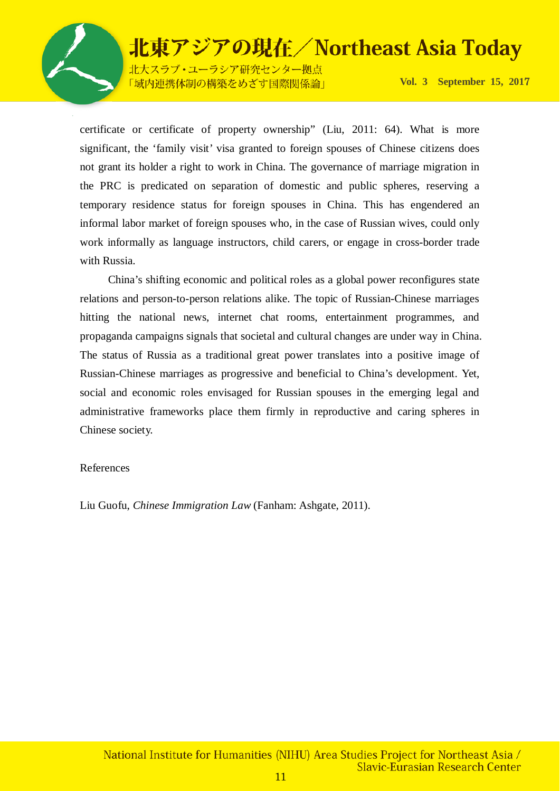

北大スラブ·ユーラシア研究センター拠点 「域内連携体制の構築をめざす国際関係論」

**Vol. 3 September 15, 201**7

certificate or certificate of property ownership" (Liu, 2011: 64). What is more significant, the 'family visit' visa granted to foreign spouses of Chinese citizens does not grant its holder a right to work in China. The governance of marriage migration in the PRC is predicated on separation of domestic and public spheres, reserving a temporary residence status for foreign spouses in China. This has engendered an informal labor market of foreign spouses who, in the case of Russian wives, could only work informally as language instructors, child carers, or engage in cross-border trade with Russia.

China's shifting economic and political roles as a global power reconfigures state relations and person-to-person relations alike. The topic of Russian-Chinese marriages hitting the national news, internet chat rooms, entertainment programmes, and propaganda campaigns signals that societal and cultural changes are under way in China. The status of Russia as a traditional great power translates into a positive image of Russian-Chinese marriages as progressive and beneficial to China's development. Yet, social and economic roles envisaged for Russian spouses in the emerging legal and administrative frameworks place them firmly in reproductive and caring spheres in Chinese society.

#### References

Liu Guofu, *Chinese Immigration Law* (Fanham: Ashgate, 2011).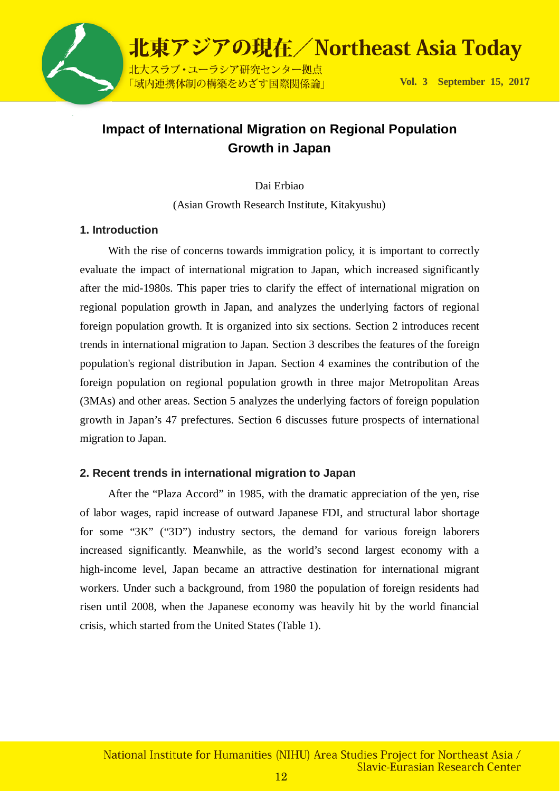

### **Impact of International Migration on Regional Population Growth in Japan**

Dai Erbiao

(Asian Growth Research Institute, Kitakyushu)

#### **1. Introduction**

With the rise of concerns towards immigration policy, it is important to correctly evaluate the impact of international migration to Japan, which increased significantly after the mid-1980s. This paper tries to clarify the effect of international migration on regional population growth in Japan, and analyzes the underlying factors of regional foreign population growth. It is organized into six sections. Section 2 introduces recent trends in international migration to Japan. Section 3 describes the features of the foreign population's regional distribution in Japan. Section 4 examines the contribution of the foreign population on regional population growth in three major Metropolitan Areas (3MAs) and other areas. Section 5 analyzes the underlying factors of foreign population growth in Japan's 47 prefectures. Section 6 discusses future prospects of international migration to Japan.

#### **2. Recent trends in international migration to Japan**

 After the "Plaza Accord" in 1985, with the dramatic appreciation of the yen, rise of labor wages, rapid increase of outward Japanese FDI, and structural labor shortage for some "3K" ("3D") industry sectors, the demand for various foreign laborers increased significantly. Meanwhile, as the world's second largest economy with a high-income level, Japan became an attractive destination for international migrant workers. Under such a background, from 1980 the population of foreign residents had risen until 2008, when the Japanese economy was heavily hit by the world financial crisis, which started from the United States (Table 1).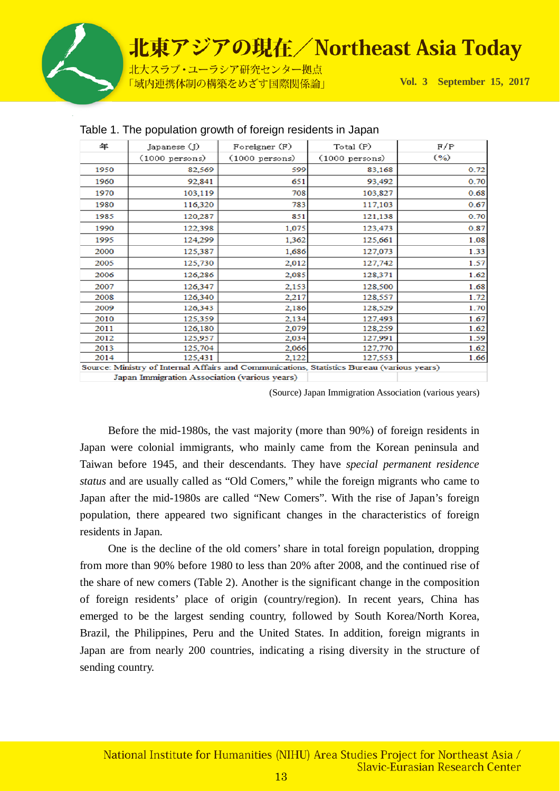

| 年    | Japanese (J)                                                                               | Foreigner (F)            | Total (P)                | F/P  |
|------|--------------------------------------------------------------------------------------------|--------------------------|--------------------------|------|
|      | $(1000 \text{ persons})$                                                                   | $(1000 \text{ persons})$ | $(1000 \text{ persons})$ | (%)  |
| 1950 | 82,569                                                                                     | 599                      | 83,168                   | 0.72 |
| 1960 | 92,841                                                                                     | 651                      | 93,492                   | 0.70 |
| 1970 | 103,119                                                                                    | 708                      | 103,827                  | 0.68 |
| 1980 | 116,320                                                                                    | 783                      | 117,103                  | 0.67 |
| 1985 | 120,287                                                                                    | 851                      | 121,138                  | 0.70 |
| 1990 | 122,398                                                                                    | 1,075                    | 123,473                  | 0.87 |
| 1995 | 124,299                                                                                    | 1,362                    | 125,661                  | 1.08 |
| 2000 | 125,387                                                                                    | 1,686                    | 127,073                  | 1.33 |
| 2005 | 125,730                                                                                    | 2,012                    | 127,742                  | 1.57 |
| 2006 | 126,286                                                                                    | 2,085                    | 128,371                  | 1.62 |
| 2007 | 126,347                                                                                    | 2,153                    | 128,500                  | 1.68 |
| 2008 | 126,340                                                                                    | 2,217                    | 128,557                  | 1.72 |
| 2009 | 126,343                                                                                    | 2,186                    | 128,529                  | 1.70 |
| 2010 | 125,359                                                                                    | 2,134                    | 127,493                  | 1.67 |
| 2011 | 126,180                                                                                    | 2,079                    | 128,259                  | 1.62 |
| 2012 | 125,957                                                                                    | 2,034                    | 127,991                  | 1.59 |
| 2013 | 125,704                                                                                    | 2,066                    | 127,770                  | 1.62 |
| 2014 | 125,431                                                                                    | 2,122                    | 127,553                  | 1.66 |
|      | Source: Ministry of Internal Affairs and Communications, Statistics Bureau (various years) |                          |                          |      |
|      | Japan Immigration Association (various years)                                              |                          |                          |      |

#### Table 1. The population growth of foreign residents in Japan

(Source) Japan Immigration Association (various years)

Before the mid-1980s, the vast majority (more than 90%) of foreign residents in Japan were colonial immigrants, who mainly came from the Korean peninsula and Taiwan before 1945, and their descendants. They have *special permanent residence status* and are usually called as "Old Comers," while the foreign migrants who came to Japan after the mid-1980s are called "New Comers". With the rise of Japan's foreign population, there appeared two significant changes in the characteristics of foreign residents in Japan.

One is the decline of the old comers' share in total foreign population, dropping from more than 90% before 1980 to less than 20% after 2008, and the continued rise of the share of new comers (Table 2). Another is the significant change in the composition of foreign residents' place of origin (country/region). In recent years, China has emerged to be the largest sending country, followed by South Korea/North Korea, Brazil, the Philippines, Peru and the United States. In addition, foreign migrants in Japan are from nearly 200 countries, indicating a rising diversity in the structure of sending country.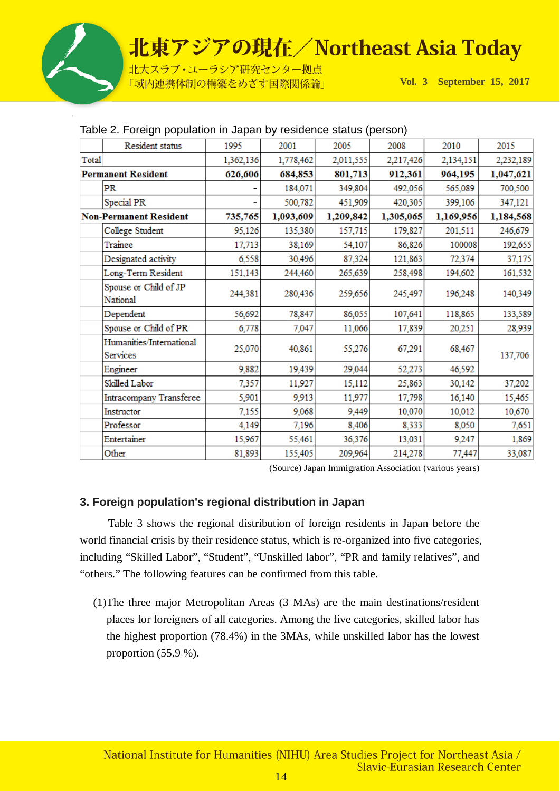

北大スラブ·ユーラシア研究センター拠点 「域内連携体制の構築をめざす国際関係論」

**Vol. 3 September 15, 201**7

|                               | Resident status                      | 1995      | 2001      | 2005      | 2008      | 2010      | 2015      |
|-------------------------------|--------------------------------------|-----------|-----------|-----------|-----------|-----------|-----------|
| Total                         |                                      | 1,362,136 | 1,778,462 | 2,011,555 | 2,217,426 | 2,134,151 | 2,232,189 |
|                               | <b>Permanent Resident</b>            | 626,606   | 684,853   | 801,713   | 912,361   | 964,195   | 1,047,621 |
|                               | PR                                   |           | 184,071   | 349,804   | 492,056   | 565,089   | 700,500   |
|                               | Special PR                           |           | 500,782   | 451,909   | 420,305   | 399,106   | 347,121   |
| <b>Non-Permanent Resident</b> |                                      | 735,765   | 1,093,609 | 1,209,842 | 1,305,065 | 1,169,956 | 1,184,568 |
|                               | College Student                      | 95,126    | 135,380   | 157,715   | 179,827   | 201,511   | 246,679   |
|                               | Trainee                              | 17,713    | 38,169    | 54,107    | 86,826    | 100008    | 192,655   |
|                               | Designated activity                  | 6,558     | 30,496    | 87,324    | 121,863   | 72,374    | 37,175    |
|                               | Long-Term Resident                   | 151,143   | 244,460   | 265,639   | 258,498   | 194,602   | 161,532   |
|                               | Spouse or Child of JP<br>National    | 244,381   | 280,436   | 259,656   | 245,497   | 196,248   | 140,349   |
|                               | Dependent                            | 56,692    | 78,847    | 86,055    | 107,641   | 118,865   | 133,589   |
|                               | Spouse or Child of PR                | 6,778     | 7,047     | 11,066    | 17,839    | 20,251    | 28,939    |
|                               | Humanities/International<br>Services | 25,070    | 40,861    | 55,276    | 67,291    | 68,467    | 137,706   |
|                               | Engineer                             | 9,882     | 19,439    | 29,044    | 52,273    | 46,592    |           |
|                               | Skilled Labor                        | 7,357     | 11,927    | 15,112    | 25,863    | 30,142    | 37,202    |
|                               | Intracompany Transferee              | 5,901     | 9,913     | 11,977    | 17,798    | 16,140    | 15,465    |
|                               | Instructor                           | 7,155     | 9,068     | 9,449     | 10,070    | 10,012    | 10,670    |
|                               | Professor                            | 4,149     | 7,196     | 8,406     | 8,333     | 8,050     | 7,651     |
|                               | Entertainer                          | 15,967    | 55,461    | 36,376    | 13,031    | 9,247     | 1,869     |
|                               | Other                                | 81,893    | 155,405   | 209,964   | 214,278   | 77,447    | 33,087    |

#### Table 2. Foreign population in Japan by residence status (person)

(Source) Japan Immigration Association (various years)

### **3. Foreign population's regional distribution in Japan**

 Table 3 shows the regional distribution of foreign residents in Japan before the world financial crisis by their residence status, which is re-organized into five categories, including "Skilled Labor", "Student", "Unskilled labor", "PR and family relatives", and "others." The following features can be confirmed from this table.

(1)The three major Metropolitan Areas (3 MAs) are the main destinations/resident places for foreigners of all categories. Among the five categories, skilled labor has the highest proportion (78.4%) in the 3MAs, while unskilled labor has the lowest proportion (55.9 %).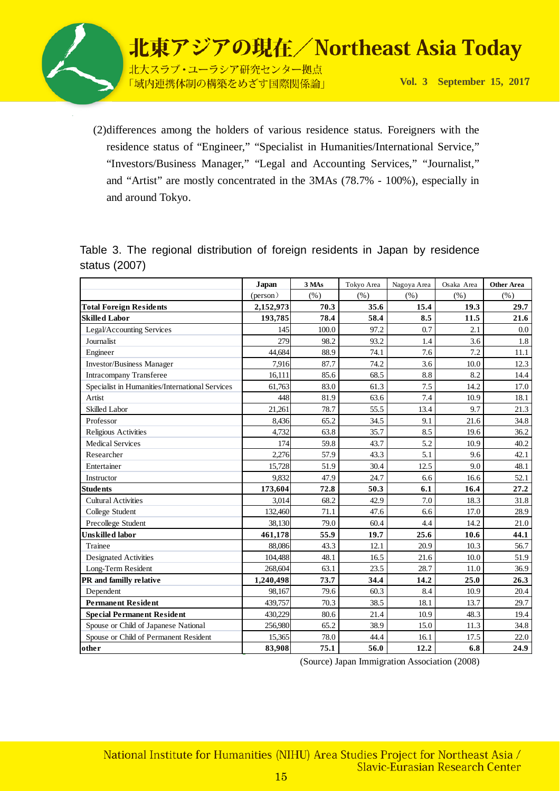

北大スラブ·ユーラシア研究センター拠点 「域内連携体制の構築をめざす国際関係論」

**Vol. 3 September 15, 201**7

(2)differences among the holders of various residence status. Foreigners with the residence status of "Engineer," "Specialist in Humanities/International Service," "Investors/Business Manager," "Legal and Accounting Services," "Journalist," and "Artist" are mostly concentrated in the 3MAs (78.7% - 100%), especially in and around Tokyo.

Table 3. The regional distribution of foreign residents in Japan by residence status (2007)

|                                                 | Japan     | 3 MAs | Tokyo Area | Nagoya Area | Osaka Area | <b>Other Area</b> |
|-------------------------------------------------|-----------|-------|------------|-------------|------------|-------------------|
|                                                 | (person)  | (% )  | (% )       | (% )        | (% )       | (% )              |
| <b>Total Foreign Residents</b>                  | 2,152,973 | 70.3  | 35.6       | 15.4        | 19.3       | 29.7              |
| <b>Skilled Labor</b>                            | 193,785   | 78.4  | 58.4       | 8.5         | 11.5       | 21.6              |
| Legal/Accounting Services                       | 145       | 100.0 | 97.2       | 0.7         | 2.1        | 0.0               |
| Journalist                                      | 279       | 98.2  | 93.2       | 1.4         | 3.6        | 1.8               |
| Engineer                                        | 44,684    | 88.9  | 74.1       | 7.6         | 7.2        | 11.1              |
| <b>Investor/Business Manager</b>                | 7.916     | 87.7  | 74.2       | 3.6         | 10.0       | 12.3              |
| <b>Intracompany Transferee</b>                  | 16,111    | 85.6  | 68.5       | 8.8         | 8.2        | 14.4              |
| Specialist in Humanities/International Services | 61,763    | 83.0  | 61.3       | 7.5         | 14.2       | 17.0              |
| Artist                                          | 448       | 81.9  | 63.6       | 7.4         | 10.9       | 18.1              |
| Skilled Labor                                   | 21,261    | 78.7  | 55.5       | 13.4        | 9.7        | 21.3              |
| Professor                                       | 8,436     | 65.2  | 34.5       | 9.1         | 21.6       | 34.8              |
| Religious Activities                            | 4,732     | 63.8  | 35.7       | 8.5         | 19.6       | 36.2              |
| <b>Medical Services</b>                         | 174       | 59.8  | 43.7       | 5.2         | 10.9       | 40.2              |
| Researcher                                      | 2.276     | 57.9  | 43.3       | 5.1         | 9.6        | 42.1              |
| Entertainer                                     | 15,728    | 51.9  | 30.4       | 12.5        | 9.0        | 48.1              |
| Instructor                                      | 9,832     | 47.9  | 24.7       | 6.6         | 16.6       | 52.1              |
| <b>Students</b>                                 | 173,604   | 72.8  | 50.3       | 6.1         | 16.4       | 27.2              |
| <b>Cultural Activities</b>                      | 3,014     | 68.2  | 42.9       | 7.0         | 18.3       | 31.8              |
| College Student                                 | 132,460   | 71.1  | 47.6       | 6.6         | 17.0       | 28.9              |
| Precollege Student                              | 38,130    | 79.0  | 60.4       | 4.4         | 14.2       | 21.0              |
| <b>Unskilled</b> labor                          | 461,178   | 55.9  | 19.7       | 25.6        | 10.6       | 44.1              |
| Trainee                                         | 88.086    | 43.3  | 12.1       | 20.9        | 10.3       | 56.7              |
| <b>Designated Activities</b>                    | 104,488   | 48.1  | 16.5       | 21.6        | 10.0       | 51.9              |
| Long-Term Resident                              | 268,604   | 63.1  | 23.5       | 28.7        | 11.0       | 36.9              |
| PR and familly relative                         | 1,240,498 | 73.7  | 34.4       | 14.2        | 25.0       | 26.3              |
| Dependent                                       | 98.167    | 79.6  | 60.3       | 8.4         | 10.9       | 20.4              |
| <b>Permanent Resident</b>                       | 439,757   | 70.3  | 38.5       | 18.1        | 13.7       | 29.7              |
| <b>Special Permanent Resident</b>               | 430,229   | 80.6  | 21.4       | 10.9        | 48.3       | 19.4              |
| Spouse or Child of Japanese National            | 256,980   | 65.2  | 38.9       | 15.0        | 11.3       | 34.8              |
| Spouse or Child of Permanent Resident           | 15,365    | 78.0  | 44.4       | 16.1        | 17.5       | 22.0              |
| other                                           | 83,908    | 75.1  | 56.0       | 12.2        | 6.8        | 24.9              |

(Source) Japan Immigration Association (2008)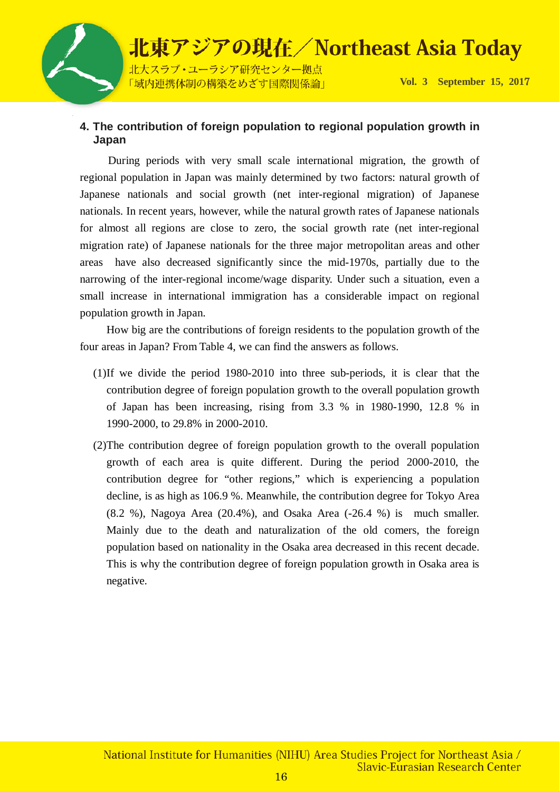

#### **4. The contribution of foreign population to regional population growth in Japan**

 During periods with very small scale international migration, the growth of regional population in Japan was mainly determined by two factors: natural growth of Japanese nationals and social growth (net inter-regional migration) of Japanese nationals. In recent years, however, while the natural growth rates of Japanese nationals for almost all regions are close to zero, the social growth rate (net inter-regional migration rate) of Japanese nationals for the three major metropolitan areas and other areas have also decreased significantly since the mid-1970s, partially due to the narrowing of the inter-regional income/wage disparity. Under such a situation, even a small increase in international immigration has a considerable impact on regional population growth in Japan.

How big are the contributions of foreign residents to the population growth of the four areas in Japan? From Table 4, we can find the answers as follows.

- (1)If we divide the period 1980-2010 into three sub-periods, it is clear that the contribution degree of foreign population growth to the overall population growth of Japan has been increasing, rising from 3.3 % in 1980-1990, 12.8 % in 1990-2000, to 29.8% in 2000-2010.
- (2)The contribution degree of foreign population growth to the overall population growth of each area is quite different. During the period 2000-2010, the contribution degree for "other regions," which is experiencing a population decline, is as high as 106.9 %. Meanwhile, the contribution degree for Tokyo Area  $(8.2 \%)$ , Nagoya Area  $(20.4\%)$ , and Osaka Area  $(-26.4 \%)$  is much smaller. Mainly due to the death and naturalization of the old comers, the foreign population based on nationality in the Osaka area decreased in this recent decade. This is why the contribution degree of foreign population growth in Osaka area is negative.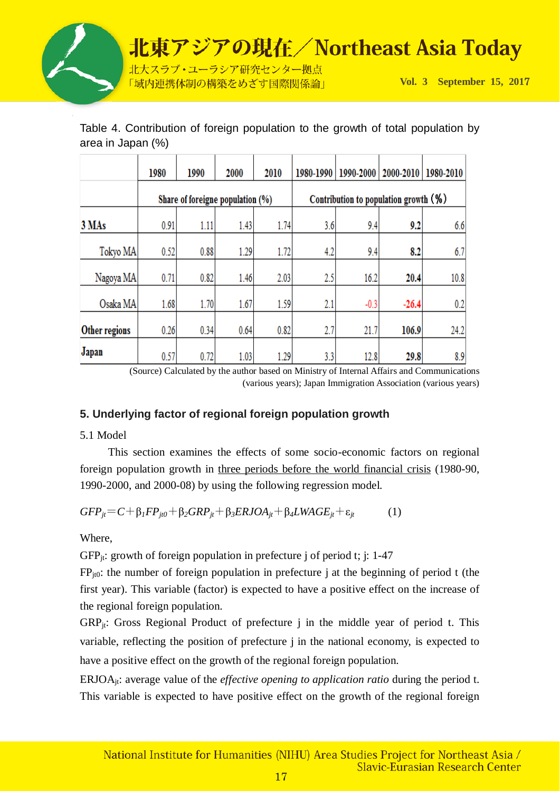

|                      | 1980                             | 1990 | 2000 | 2010 | 1980-1990                             |        | 1990-2000   2000-2010 | 1980-2010 |
|----------------------|----------------------------------|------|------|------|---------------------------------------|--------|-----------------------|-----------|
|                      | Share of foreigne population (%) |      |      |      | Contribution to population growth (%) |        |                       |           |
| 3 MAs                | 0.91                             | 1.11 | 1.43 | 1.74 | 3.6                                   | 9.4    | 9.2                   | 6.6       |
| Tokyo MA             | 0.52                             | 0.88 | 1.29 | 1.72 | 4.2                                   | 9.4    | 8.2                   | 6.7       |
| Nagoya MA            | 0.71                             | 0.82 | 1.46 | 2.03 | 2.5                                   | 16.2   | 20.4                  | 10.8      |
| Osaka MA             | 1.68                             | 1.70 | 1.67 | 1.59 | 2.1                                   | $-0.3$ | $-26.4$               | 0.2       |
| <b>Other regions</b> | 0.26                             | 0.34 | 0.64 | 0.82 | 2.7                                   | 21.7   | 106.9                 | 24.2      |
| Japan                | 0.57                             | 0.72 | 1.03 | 1.29 | 3.3                                   | 12.8   | 29.8                  | 8.9       |

Table 4. Contribution of foreign population to the growth of total population by area in Japan (%)

> (Source) Calculated by the author based on Ministry of Internal Affairs and Communications (various years); Japan Immigration Association (various years)

### **5. Underlying factor of regional foreign population growth**

5.1 Model

This section examines the effects of some socio-economic factors on regional foreign population growth in three periods before the world financial crisis (1980-90, 1990-2000, and 2000-08) by using the following regression model.

$$
GFP_{jt} = C + \beta_1 FP_{jt0} + \beta_2 GRP_{jt} + \beta_3 ERJOA_{jt} + \beta_4 LWAGE_{jt} + \varepsilon_{jt}
$$
 (1)

Where,

 $GFP_{it}$ : growth of foreign population in prefecture j of period t; j: 1-47

 $FP_{it0}$ : the number of foreign population in prefecture j at the beginning of period t (the first year). This variable (factor) is expected to have a positive effect on the increase of the regional foreign population.

 $GRP_{it}$ : Gross Regional Product of prefecture j in the middle year of period t. This variable, reflecting the position of prefecture j in the national economy, is expected to have a positive effect on the growth of the regional foreign population.

ERJOAjt: average value of the *effective opening to application ratio* during the period t. This variable is expected to have positive effect on the growth of the regional foreign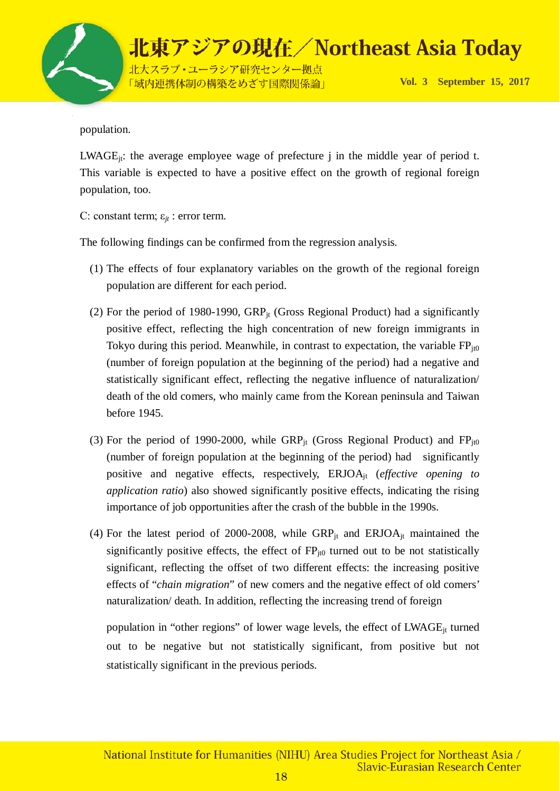

population.

 $LWAGE_{it}$ : the average employee wage of prefecture j in the middle year of period t. This variable is expected to have a positive effect on the growth of regional foreign population, too.

C: constant term; ε*jt* : error term.

The following findings can be confirmed from the regression analysis.

- (1) The effects of four explanatory variables on the growth of the regional foreign population are different for each period.
- (2) For the period of 1980-1990,  $GRP_{it}$  (Gross Regional Product) had a significantly positive effect, reflecting the high concentration of new foreign immigrants in Tokyo during this period. Meanwhile, in contrast to expectation, the variable  $FP_{\text{it0}}$ (number of foreign population at the beginning of the period) had a negative and statistically significant effect, reflecting the negative influence of naturalization/ death of the old comers, who mainly came from the Korean peninsula and Taiwan before 1945.
- (3) For the period of 1990-2000, while  $\text{GRP}_{it}$  (Gross Regional Product) and  $\text{FP}_{it0}$ (number of foreign population at the beginning of the period) had significantly positive and negative effects, respectively, ERJOAjt (*effective opening to application ratio*) also showed significantly positive effects, indicating the rising importance of job opportunities after the crash of the bubble in the 1990s.
- (4) For the latest period of 2000-2008, while  $GRP_{it}$  and  $ERJOA_{it}$  maintained the significantly positive effects, the effect of  $FP_{i0}$  turned out to be not statistically significant, reflecting the offset of two different effects: the increasing positive effects of "*chain migration*" of new comers and the negative effect of old comers' naturalization/ death. In addition, reflecting the increasing trend of foreign

population in "other regions" of lower wage levels, the effect of LWAGE<sub>it</sub> turned out to be negative but not statistically significant, from positive but not statistically significant in the previous periods.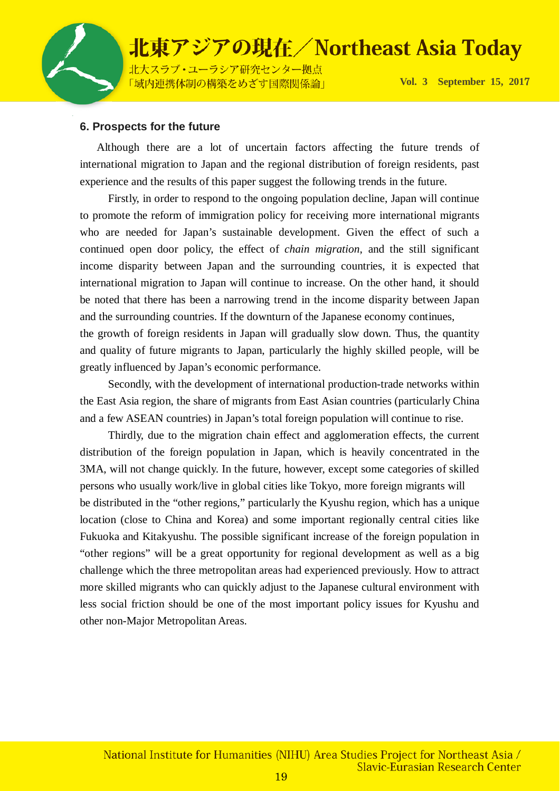

#### **6. Prospects for the future**

 Although there are a lot of uncertain factors affecting the future trends of international migration to Japan and the regional distribution of foreign residents, past experience and the results of this paper suggest the following trends in the future.

Firstly, in order to respond to the ongoing population decline, Japan will continue to promote the reform of immigration policy for receiving more international migrants who are needed for Japan's sustainable development. Given the effect of such a continued open door policy, the effect of *chain migration*, and the still significant income disparity between Japan and the surrounding countries, it is expected that international migration to Japan will continue to increase. On the other hand, it should be noted that there has been a narrowing trend in the income disparity between Japan and the surrounding countries. If the downturn of the Japanese economy continues,

the growth of foreign residents in Japan will gradually slow down. Thus, the quantity and quality of future migrants to Japan, particularly the highly skilled people, will be greatly influenced by Japan's economic performance.

Secondly, with the development of international production-trade networks within the East Asia region, the share of migrants from East Asian countries (particularly China and a few ASEAN countries) in Japan's total foreign population will continue to rise.

Thirdly, due to the migration chain effect and agglomeration effects, the current distribution of the foreign population in Japan, which is heavily concentrated in the 3MA, will not change quickly. In the future, however, except some categories of skilled persons who usually work/live in global cities like Tokyo, more foreign migrants will be distributed in the "other regions," particularly the Kyushu region, which has a unique location (close to China and Korea) and some important regionally central cities like Fukuoka and Kitakyushu. The possible significant increase of the foreign population in "other regions" will be a great opportunity for regional development as well as a big challenge which the three metropolitan areas had experienced previously. How to attract more skilled migrants who can quickly adjust to the Japanese cultural environment with less social friction should be one of the most important policy issues for Kyushu and other non-Major Metropolitan Areas.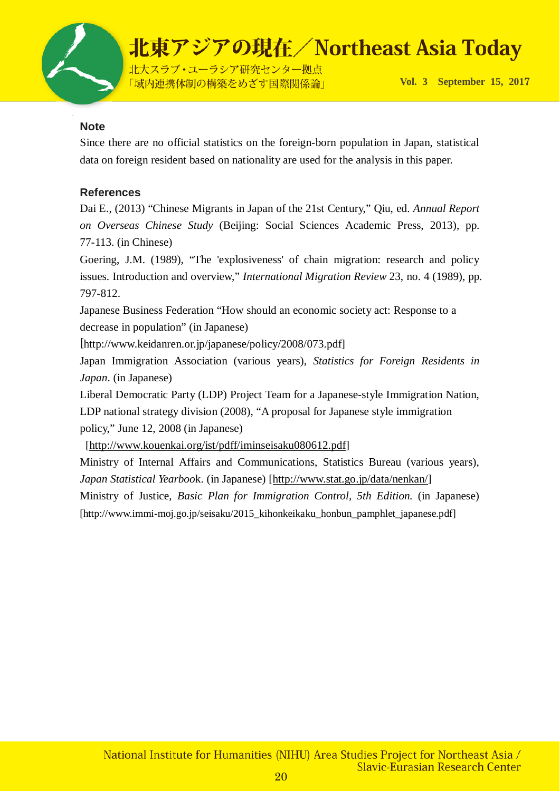

#### **Note**

Since there are no official statistics on the foreign-born population in Japan, statistical data on foreign resident based on nationality are used for the analysis in this paper.

### **References**

Dai E., (2013) "Chinese Migrants in Japan of the 21st Century," Qiu, ed. *Annual Report on Overseas Chinese Study* (Beijing: Social Sciences Academic Press, 2013), pp. 77-113. (in Chinese)

Goering, J.M. (1989), "The 'explosiveness' of chain migration: research and policy issues. Introduction and overview," *International Migration Review* 23, no. 4 (1989), pp. 797-812.

Japanese Business Federation "How should an economic society act: Response to a decrease in population" (in Japanese)

[http://www.keidanren.or.jp/japanese/policy/2008/073.pdf]

Japan Immigration Association (various years), *Statistics for Foreign Residents in Japan*. (in Japanese)

Liberal Democratic Party (LDP) Project Team for a Japanese-style Immigration Nation, LDP national strategy division (2008), "A proposal for Japanese style immigration policy," June 12, 2008 (in Japanese)

[\[http://www.kouenkai.org/ist/pdff/iminseisaku080612.pdf\]](http://www.kouenkai.org/ist/pdff/iminseisaku080612.pdf)

Ministry of Internal Affairs and Communications, Statistics Bureau (various years), *Japan Statistical Yearboo*k. (in Japanese) [\[http://www.stat.go.jp/data/nenkan/\]](http://www.stat.go.jp/data/nenkan/) Ministry of Justice, *Basic Plan for Immigration Control, 5th Edition.* (in Japanese) [http://www.immi-moj.go.jp/seisaku/2015\_kihonkeikaku\_honbun\_pamphlet\_japanese.pdf]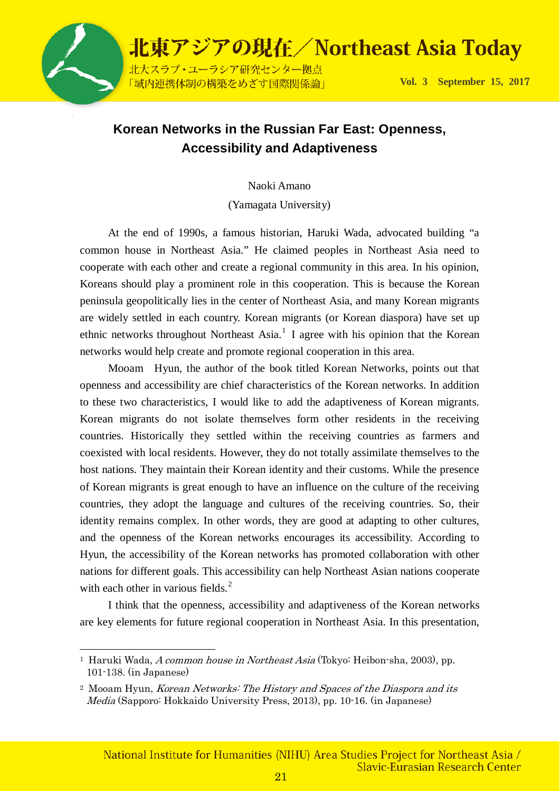

### **Korean Networks in the Russian Far East: Openness, Accessibility and Adaptiveness**

Naoki Amano

(Yamagata University)

At the end of 1990s, a famous historian, Haruki Wada, advocated building "a common house in Northeast Asia." He claimed peoples in Northeast Asia need to cooperate with each other and create a regional community in this area. In his opinion, Koreans should play a prominent role in this cooperation. This is because the Korean peninsula geopolitically lies in the center of Northeast Asia, and many Korean migrants are widely settled in each country. Korean migrants (or Korean diaspora) have set up ethnic networks throughout Northeast Asia.<sup>[1](#page-20-0)</sup> I agree with his opinion that the Korean networks would help create and promote regional cooperation in this area.

Mooam Hyun, the author of the book titled Korean Networks, points out that openness and accessibility are chief characteristics of the Korean networks. In addition to these two characteristics, I would like to add the adaptiveness of Korean migrants. Korean migrants do not isolate themselves form other residents in the receiving countries. Historically they settled within the receiving countries as farmers and coexisted with local residents. However, they do not totally assimilate themselves to the host nations. They maintain their Korean identity and their customs. While the presence of Korean migrants is great enough to have an influence on the culture of the receiving countries, they adopt the language and cultures of the receiving countries. So, their identity remains complex. In other words, they are good at adapting to other cultures, and the openness of the Korean networks encourages its accessibility. According to Hyun, the accessibility of the Korean networks has promoted collaboration with other nations for different goals. This accessibility can help Northeast Asian nations cooperate with each other in various fields. $2^2$  $2^2$ 

I think that the openness, accessibility and adaptiveness of the Korean networks are key elements for future regional cooperation in Northeast Asia. In this presentation,

<span id="page-20-0"></span><sup>&</sup>lt;sup>1</sup> Haruki Wada, *A common house in Northeast Asia* (Tokyo: Heibon-sha, 2003), pp. 101-138. (in Japanese)

<span id="page-20-1"></span><sup>&</sup>lt;sup>2</sup> Mooam Hyun, *Korean Networks: The History and Spaces of the Diaspora and its* Media (Sapporo: Hokkaido University Press, 2013), pp. 10-16. (in Japanese)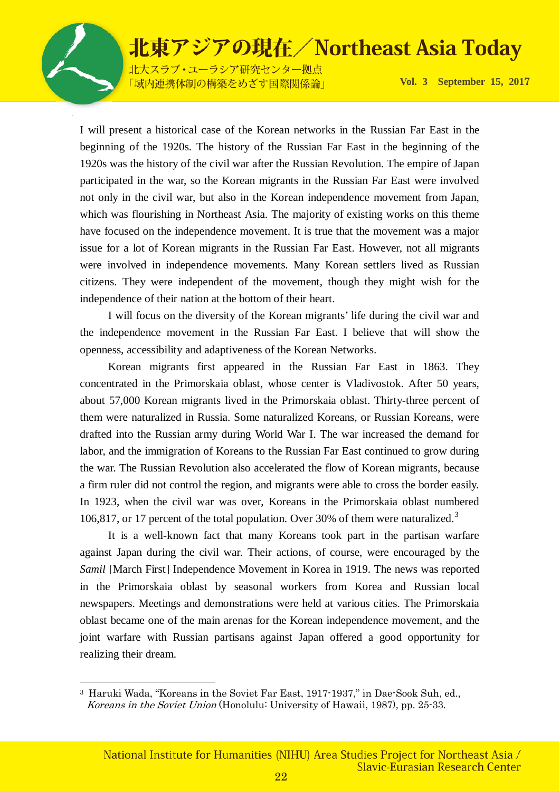

北大スラブ·ユーラシア研究センター拠点 「域内連携体制の構築をめざす国際関係論」

**Vol. 3 September 15, 201**7

I will present a historical case of the Korean networks in the Russian Far East in the beginning of the 1920s. The history of the Russian Far East in the beginning of the 1920s was the history of the civil war after the Russian Revolution. The empire of Japan participated in the war, so the Korean migrants in the Russian Far East were involved not only in the civil war, but also in the Korean independence movement from Japan, which was flourishing in Northeast Asia. The majority of existing works on this theme have focused on the independence movement. It is true that the movement was a major issue for a lot of Korean migrants in the Russian Far East. However, not all migrants were involved in independence movements. Many Korean settlers lived as Russian citizens. They were independent of the movement, though they might wish for the independence of their nation at the bottom of their heart.

I will focus on the diversity of the Korean migrants' life during the civil war and the independence movement in the Russian Far East. I believe that will show the openness, accessibility and adaptiveness of the Korean Networks.

Korean migrants first appeared in the Russian Far East in 1863. They concentrated in the Primorskaia oblast, whose center is Vladivostok. After 50 years, about 57,000 Korean migrants lived in the Primorskaia oblast. Thirty-three percent of them were naturalized in Russia. Some naturalized Koreans, or Russian Koreans, were drafted into the Russian army during World War I. The war increased the demand for labor, and the immigration of Koreans to the Russian Far East continued to grow during the war. The Russian Revolution also accelerated the flow of Korean migrants, because a firm ruler did not control the region, and migrants were able to cross the border easily. In 1923, when the civil war was over, Koreans in the Primorskaia oblast numbered 106,817, or 17 percent of the total population. Over [3](#page-21-0)0% of them were naturalized.<sup>3</sup>

It is a well-known fact that many Koreans took part in the partisan warfare against Japan during the civil war. Their actions, of course, were encouraged by the *Samil* [March First] Independence Movement in Korea in 1919. The news was reported in the Primorskaia oblast by seasonal workers from Korea and Russian local newspapers. Meetings and demonstrations were held at various cities. The Primorskaia oblast became one of the main arenas for the Korean independence movement, and the joint warfare with Russian partisans against Japan offered a good opportunity for realizing their dream.

<span id="page-21-0"></span> <sup>3</sup> Haruki Wada, "Koreans in the Soviet Far East, 1917-1937," in Dae-Sook Suh, ed., Koreans in the Soviet Union (Honolulu: University of Hawaii, 1987), pp. 25-33.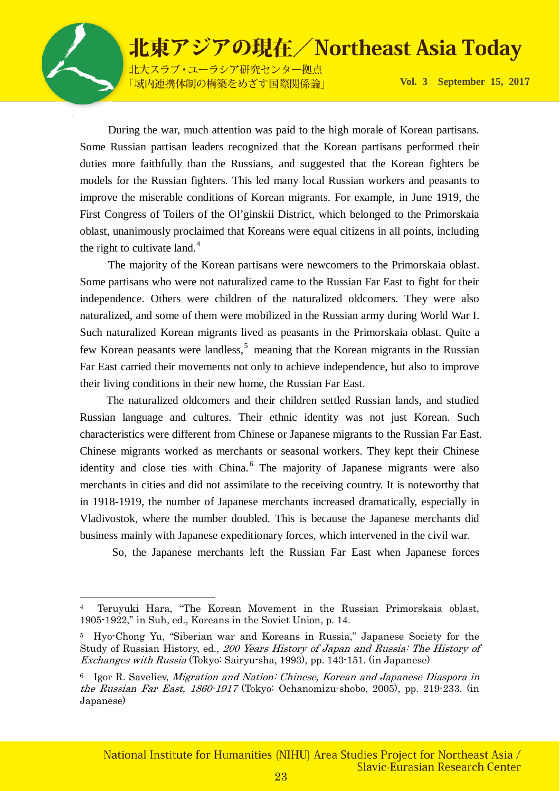北大スラブ·ユーラシア研究センター拠点 「域内連携体制の構築をめざす国際関係論」

**Vol. 3 September 15, 201**7

During the war, much attention was paid to the high morale of Korean partisans. Some Russian partisan leaders recognized that the Korean partisans performed their duties more faithfully than the Russians, and suggested that the Korean fighters be models for the Russian fighters. This led many local Russian workers and peasants to improve the miserable conditions of Korean migrants. For example, in June 1919, the First Congress of Toilers of the Ol'ginskii District, which belonged to the Primorskaia oblast, unanimously proclaimed that Koreans were equal citizens in all points, including the right to cultivate land. $4$ 

The majority of the Korean partisans were newcomers to the Primorskaia oblast. Some partisans who were not naturalized came to the Russian Far East to fight for their independence. Others were children of the naturalized oldcomers. They were also naturalized, and some of them were mobilized in the Russian army during World War I. Such naturalized Korean migrants lived as peasants in the Primorskaia oblast. Quite a few Korean peasants were landless,<sup>[5](#page-22-1)</sup> meaning that the Korean migrants in the Russian Far East carried their movements not only to achieve independence, but also to improve their living conditions in their new home, the Russian Far East.

The naturalized oldcomers and their children settled Russian lands, and studied Russian language and cultures. Their ethnic identity was not just Korean. Such characteristics were different from Chinese or Japanese migrants to the Russian Far East. Chinese migrants worked as merchants or seasonal workers. They kept their Chinese identity and close ties with China.<sup>[6](#page-22-2)</sup> The majority of Japanese migrants were also merchants in cities and did not assimilate to the receiving country. It is noteworthy that in 1918-1919, the number of Japanese merchants increased dramatically, especially in Vladivostok, where the number doubled. This is because the Japanese merchants did business mainly with Japanese expeditionary forces, which intervened in the civil war.

So, the Japanese merchants left the Russian Far East when Japanese forces

<span id="page-22-0"></span> <sup>4</sup> Teruyuki Hara, "The Korean Movement in the Russian Primorskaia oblast, 1905-1922," in Suh, ed., Koreans in the Soviet Union, p. 14.

<span id="page-22-1"></span><sup>5</sup> Hyo-Chong Yu, "Siberian war and Koreans in Russia," Japanese Society for the Study of Russian History, ed., 200 Years History of Japan and Russia: The History of Exchanges with Russia (Tokyo: Sairyu-sha, 1993), pp. 143-151. (in Japanese)

<span id="page-22-2"></span><sup>6</sup> Igor R. Saveliev, Migration and Nation: Chinese, Korean and Japanese Diaspora in the Russian Far East, 1860-1917 (Tokyo: Ochanomizu-shobo, 2005), pp. 219-233. (in Japanese)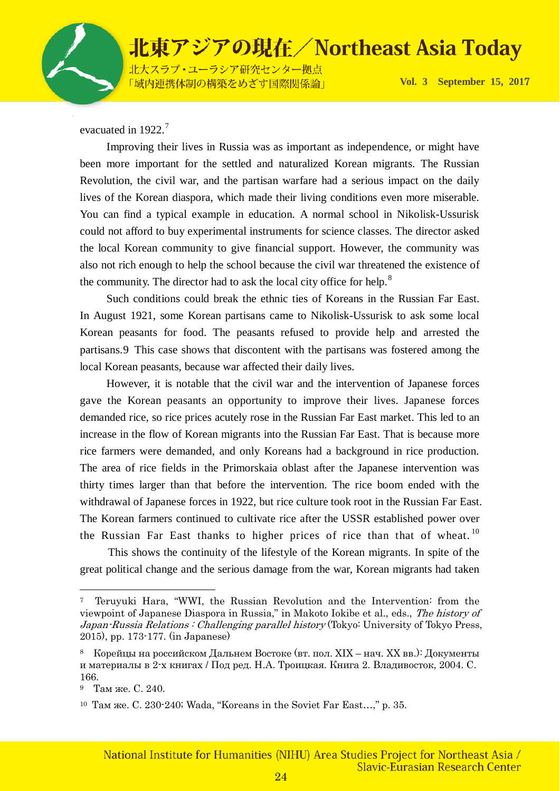

北大スラブ·ユーラシア研究センター拠点 「域内連携体制の構築をめざす国際関係論」

**Vol. 3 September 15, 201**7

evacuated in 1922.<sup>[7](#page-23-0)</sup>

Improving their lives in Russia was as important as independence, or might have been more important for the settled and naturalized Korean migrants. The Russian Revolution, the civil war, and the partisan warfare had a serious impact on the daily lives of the Korean diaspora, which made their living conditions even more miserable. You can find a typical example in education. A normal school in Nikolisk-Ussurisk could not afford to buy experimental instruments for science classes. The director asked the local Korean community to give financial support. However, the community was also not rich enough to help the school because the civil war threatened the existence of the community. The director had to ask the local city office for help.<sup>[8](#page-23-1)</sup>

Such conditions could break the ethnic ties of Koreans in the Russian Far East. In August 1921, some Korean partisans came to Nikolisk-Ussurisk to ask some local Korean peasants for food. The peasants refused to provide help and arrested the partisans.[9](#page-23-2) This case shows that discontent with the partisans was fostered among the local Korean peasants, because war affected their daily lives.

However, it is notable that the civil war and the intervention of Japanese forces gave the Korean peasants an opportunity to improve their lives. Japanese forces demanded rice, so rice prices acutely rose in the Russian Far East market. This led to an increase in the flow of Korean migrants into the Russian Far East. That is because more rice farmers were demanded, and only Koreans had a background in rice production. The area of rice fields in the Primorskaia oblast after the Japanese intervention was thirty times larger than that before the intervention. The rice boom ended with the withdrawal of Japanese forces in 1922, but rice culture took root in the Russian Far East. The Korean farmers continued to cultivate rice after the USSR established power over the Russian Far East thanks to higher prices of rice than that of wheat.<sup>10</sup>

This shows the continuity of the lifestyle of the Korean migrants. In spite of the great political change and the serious damage from the war, Korean migrants had taken

<span id="page-23-0"></span> <sup>7</sup> Teruyuki Hara, "WWI, the Russian Revolution and the Intervention: from the viewpoint of Japanese Diaspora in Russia," in Makoto Iokibe et al., eds., The history of Japan-Russia Relations : Challenging parallel history (Tokyo: University of Tokyo Press, 2015), pp. 173-177. (in Japanese)

<span id="page-23-1"></span><sup>8</sup> Корейцы на российском Дальнем Востоке (вт. пол. XIX – нач. XX вв.): Документы и материалы в 2-х книгах / Под ред. Н.А. Троицкая. Книга 2. Владивосток, 2004. С. 166.

<span id="page-23-2"></span><sup>9</sup> Там же. С. 240.

<span id="page-23-3"></span><sup>10</sup> Там же. С. 230-240; Wada, "Koreans in the Soviet Far East…," p. 35.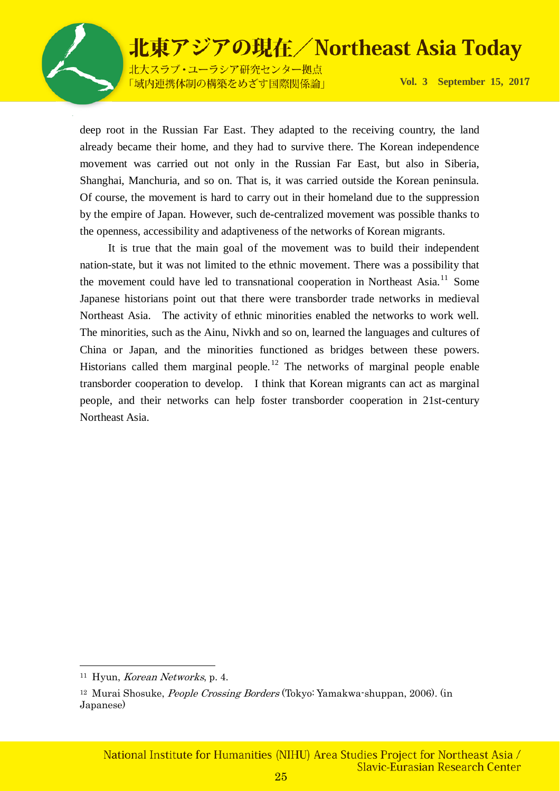

北大スラブ·ユーラシア研究センター拠点 「域内連携体制の構築をめざす国際関係論」

**Vol. 3 September 15, 201**7

deep root in the Russian Far East. They adapted to the receiving country, the land already became their home, and they had to survive there. The Korean independence movement was carried out not only in the Russian Far East, but also in Siberia, Shanghai, Manchuria, and so on. That is, it was carried outside the Korean peninsula. Of course, the movement is hard to carry out in their homeland due to the suppression by the empire of Japan. However, such de-centralized movement was possible thanks to the openness, accessibility and adaptiveness of the networks of Korean migrants.

It is true that the main goal of the movement was to build their independent nation-state, but it was not limited to the ethnic movement. There was a possibility that the movement could have led to transnational cooperation in Northeast Asia.<sup>[11](#page-24-0)</sup> Some Japanese historians point out that there were transborder trade networks in medieval Northeast Asia. The activity of ethnic minorities enabled the networks to work well. The minorities, such as the Ainu, Nivkh and so on, learned the languages and cultures of China or Japan, and the minorities functioned as bridges between these powers. Historians called them marginal people.<sup>[12](#page-24-1)</sup> The networks of marginal people enable transborder cooperation to develop. I think that Korean migrants can act as marginal people, and their networks can help foster transborder cooperation in 21st-century Northeast Asia.

<span id="page-24-0"></span> $11$  Hyun, *Korean Networks*, p. 4.

<span id="page-24-1"></span><sup>12</sup> Murai Shosuke, People Crossing Borders (Tokyo: Yamakwa-shuppan, 2006). (in Japanese)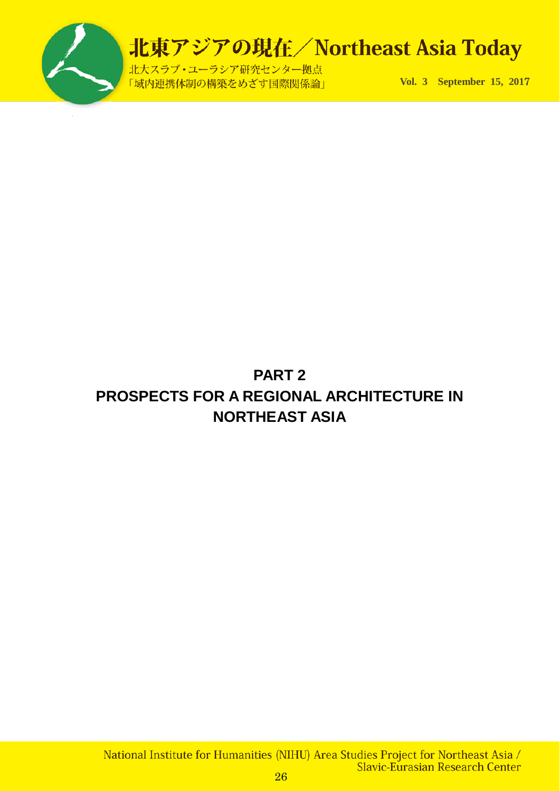

北大スラブ·ユーラシア研究センター拠点 「域内連携体制の構築をめざす国際関係論」

**Vol. 3 September 15, 201**7

### **PART 2 PROSPECTS FOR A REGIONAL ARCHITECTURE IN NORTHEAST ASIA**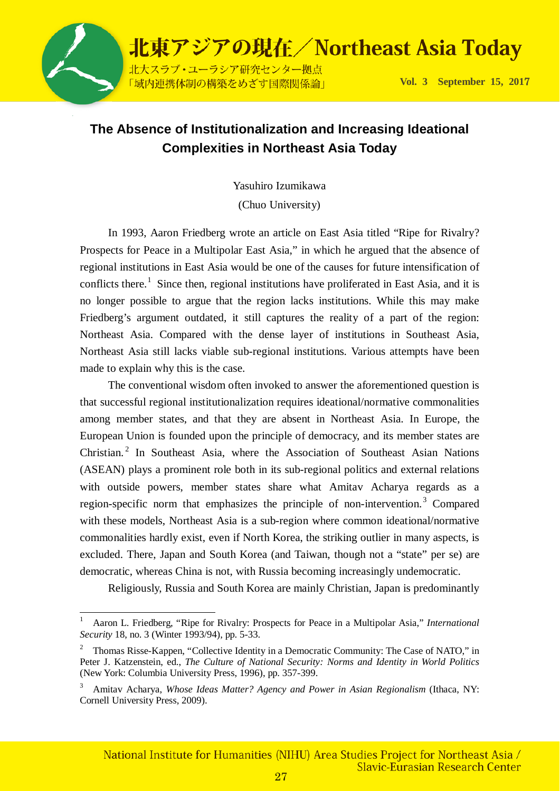

### **The Absence of Institutionalization and Increasing Ideational Complexities in Northeast Asia Today**

Yasuhiro Izumikawa

(Chuo University)

In 1993, Aaron Friedberg wrote an article on East Asia titled "Ripe for Rivalry? Prospects for Peace in a Multipolar East Asia," in which he argued that the absence of regional institutions in East Asia would be one of the causes for future intensification of conflicts there.<sup>[1](#page-26-0)</sup> Since then, regional institutions have proliferated in East Asia, and it is no longer possible to argue that the region lacks institutions. While this may make Friedberg's argument outdated, it still captures the reality of a part of the region: Northeast Asia. Compared with the dense layer of institutions in Southeast Asia, Northeast Asia still lacks viable sub-regional institutions. Various attempts have been made to explain why this is the case.

The conventional wisdom often invoked to answer the aforementioned question is that successful regional institutionalization requires ideational/normative commonalities among member states, and that they are absent in Northeast Asia. In Europe, the European Union is founded upon the principle of democracy, and its member states are Christian.<sup>[2](#page-26-1)</sup> In Southeast Asia, where the Association of Southeast Asian Nations (ASEAN) plays a prominent role both in its sub-regional politics and external relations with outside powers, member states share what Amitav Acharya regards as a region-specific norm that emphasizes the principle of non-intervention.<sup>[3](#page-26-2)</sup> Compared with these models, Northeast Asia is a sub-region where common ideational/normative commonalities hardly exist, even if North Korea, the striking outlier in many aspects, is excluded. There, Japan and South Korea (and Taiwan, though not a "state" per se) are democratic, whereas China is not, with Russia becoming increasingly undemocratic.

Religiously, Russia and South Korea are mainly Christian, Japan is predominantly

<span id="page-26-0"></span> $\frac{1}{1}$  Aaron L. Friedberg, "Ripe for Rivalry: Prospects for Peace in a Multipolar Asia," *International Security* 18, no. 3 (Winter 1993/94), pp. 5-33.

<span id="page-26-1"></span><sup>2</sup> Thomas Risse-Kappen, "Collective Identity in a Democratic Community: The Case of NATO," in Peter J. Katzenstein, ed., *The Culture of National Security: Norms and Identity in World Politics* (New York: Columbia University Press, 1996), pp. 357-399.

<span id="page-26-2"></span><sup>3</sup> Amitav Acharya, *Whose Ideas Matter? Agency and Power in Asian Regionalism* (Ithaca, NY: Cornell University Press, 2009).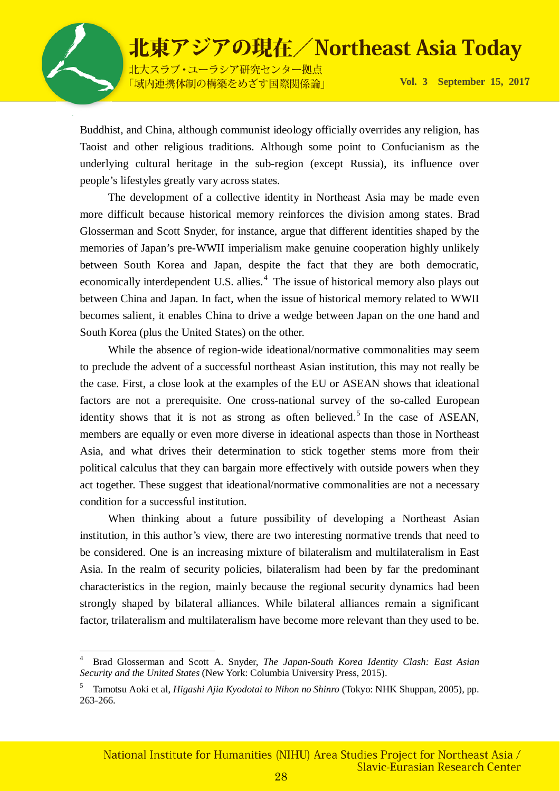

北大スラブ·ユーラシア研究センター拠点 「域内連携体制の構築をめざす国際関係論」

**Vol. 3 September 15, 201**7

Buddhist, and China, although communist ideology officially overrides any religion, has Taoist and other religious traditions. Although some point to Confucianism as the underlying cultural heritage in the sub-region (except Russia), its influence over people's lifestyles greatly vary across states.

The development of a collective identity in Northeast Asia may be made even more difficult because historical memory reinforces the division among states. Brad Glosserman and Scott Snyder, for instance, argue that different identities shaped by the memories of Japan's pre-WWII imperialism make genuine cooperation highly unlikely between South Korea and Japan, despite the fact that they are both democratic, economically interdependent U.S. allies.<sup>[4](#page-27-0)</sup> The issue of historical memory also plays out between China and Japan. In fact, when the issue of historical memory related to WWII becomes salient, it enables China to drive a wedge between Japan on the one hand and South Korea (plus the United States) on the other.

While the absence of region-wide ideational/normative commonalities may seem to preclude the advent of a successful northeast Asian institution, this may not really be the case. First, a close look at the examples of the EU or ASEAN shows that ideational factors are not a prerequisite. One cross-national survey of the so-called European identity shows that it is not as strong as often believed.<sup>[5](#page-27-1)</sup> In the case of ASEAN, members are equally or even more diverse in ideational aspects than those in Northeast Asia, and what drives their determination to stick together stems more from their political calculus that they can bargain more effectively with outside powers when they act together. These suggest that ideational/normative commonalities are not a necessary condition for a successful institution.

When thinking about a future possibility of developing a Northeast Asian institution, in this author's view, there are two interesting normative trends that need to be considered. One is an increasing mixture of bilateralism and multilateralism in East Asia. In the realm of security policies, bilateralism had been by far the predominant characteristics in the region, mainly because the regional security dynamics had been strongly shaped by bilateral alliances. While bilateral alliances remain a significant factor, trilateralism and multilateralism have become more relevant than they used to be.

<span id="page-27-0"></span> $\frac{1}{4}$  Brad Glosserman and Scott A. Snyder, *The Japan-South Korea Identity Clash: East Asian Security and the United States* (New York: Columbia University Press, 2015).

<span id="page-27-1"></span><sup>5</sup> Tamotsu Aoki et al, *Higashi Ajia Kyodotai to Nihon no Shinro* (Tokyo: NHK Shuppan, 2005), pp. 263-266.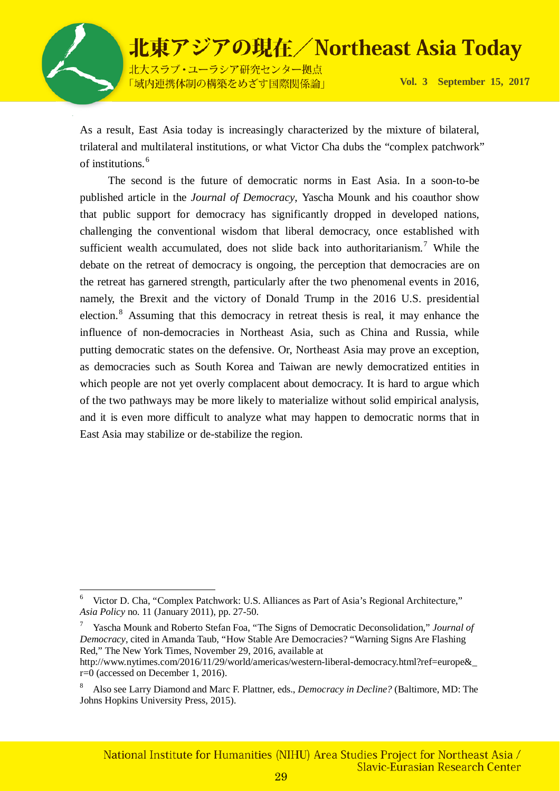

北東アジアの現在/Northeast Asia Today 北大スラブ·ユーラシア研究センター拠点

「域内連携体制の構築をめざす国際関係論」

**Vol. 3 September 15, 201**7

As a result, East Asia today is increasingly characterized by the mixture of bilateral, trilateral and multilateral institutions, or what Victor Cha dubs the "complex patchwork" of institutions.[6](#page-28-0)

The second is the future of democratic norms in East Asia. In a soon-to-be published article in the *Journal of Democracy*, Yascha Mounk and his coauthor show that public support for democracy has significantly dropped in developed nations, challenging the conventional wisdom that liberal democracy, once established with sufficient wealth accumulated, does not slide back into authoritarianism.<sup>[7](#page-28-1)</sup> While the debate on the retreat of democracy is ongoing, the perception that democracies are on the retreat has garnered strength, particularly after the two phenomenal events in 2016, namely, the Brexit and the victory of Donald Trump in the 2016 U.S. presidential election.<sup>[8](#page-28-2)</sup> Assuming that this democracy in retreat thesis is real, it may enhance the influence of non-democracies in Northeast Asia, such as China and Russia, while putting democratic states on the defensive. Or, Northeast Asia may prove an exception, as democracies such as South Korea and Taiwan are newly democratized entities in which people are not yet overly complacent about democracy. It is hard to argue which of the two pathways may be more likely to materialize without solid empirical analysis, and it is even more difficult to analyze what may happen to democratic norms that in East Asia may stabilize or de-stabilize the region.

<span id="page-28-0"></span> $\frac{1}{6}$  Victor D. Cha, "Complex Patchwork: U.S. Alliances as Part of Asia's Regional Architecture," *Asia Policy* no. 11 (January 2011), pp. 27-50.

<span id="page-28-1"></span><sup>7</sup> Yascha Mounk and Roberto Stefan Foa, "The Signs of Democratic Deconsolidation," *Journal of Democracy*, cited in Amanda Taub, "How Stable Are Democracies? "Warning Signs Are Flashing Red," The New York Times, November 29, 2016, available at

http://www.nytimes.com/2016/11/29/world/americas/western-liberal-democracy.html?ref=europe&\_ r=0 (accessed on December 1, 2016).

<span id="page-28-2"></span><sup>8</sup> Also see Larry Diamond and Marc F. Plattner, eds., *Democracy in Decline?* (Baltimore, MD: The Johns Hopkins University Press, 2015).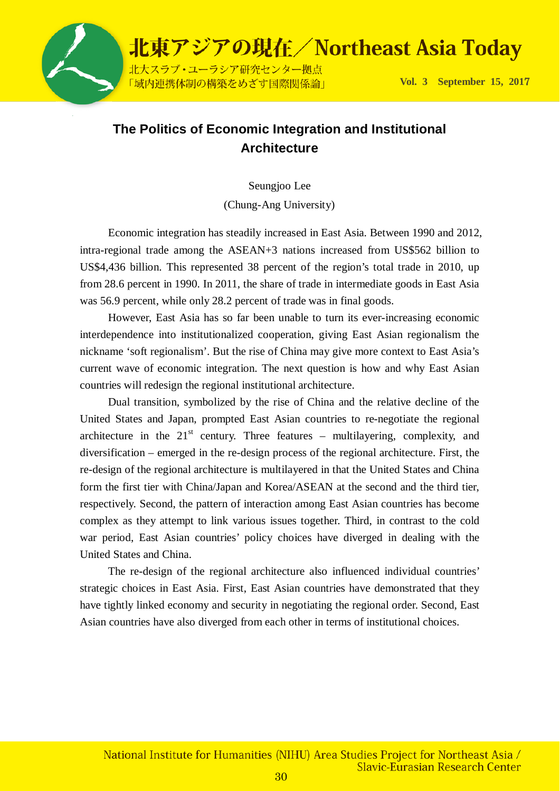

### **The Politics of Economic Integration and Institutional Architecture**

Seungjoo Lee

(Chung-Ang University)

Economic integration has steadily increased in East Asia. Between 1990 and 2012, intra-regional trade among the ASEAN+3 nations increased from US\$562 billion to US\$4,436 billion. This represented 38 percent of the region's total trade in 2010, up from 28.6 percent in 1990. In 2011, the share of trade in intermediate goods in East Asia was 56.9 percent, while only 28.2 percent of trade was in final goods.

However, East Asia has so far been unable to turn its ever-increasing economic interdependence into institutionalized cooperation, giving East Asian regionalism the nickname 'soft regionalism'. But the rise of China may give more context to East Asia's current wave of economic integration. The next question is how and why East Asian countries will redesign the regional institutional architecture.

Dual transition, symbolized by the rise of China and the relative decline of the United States and Japan, prompted East Asian countries to re-negotiate the regional architecture in the  $21<sup>st</sup>$  century. Three features – multilayering, complexity, and diversification – emerged in the re-design process of the regional architecture. First, the re-design of the regional architecture is multilayered in that the United States and China form the first tier with China/Japan and Korea/ASEAN at the second and the third tier, respectively. Second, the pattern of interaction among East Asian countries has become complex as they attempt to link various issues together. Third, in contrast to the cold war period, East Asian countries' policy choices have diverged in dealing with the United States and China.

The re-design of the regional architecture also influenced individual countries' strategic choices in East Asia. First, East Asian countries have demonstrated that they have tightly linked economy and security in negotiating the regional order. Second, East Asian countries have also diverged from each other in terms of institutional choices.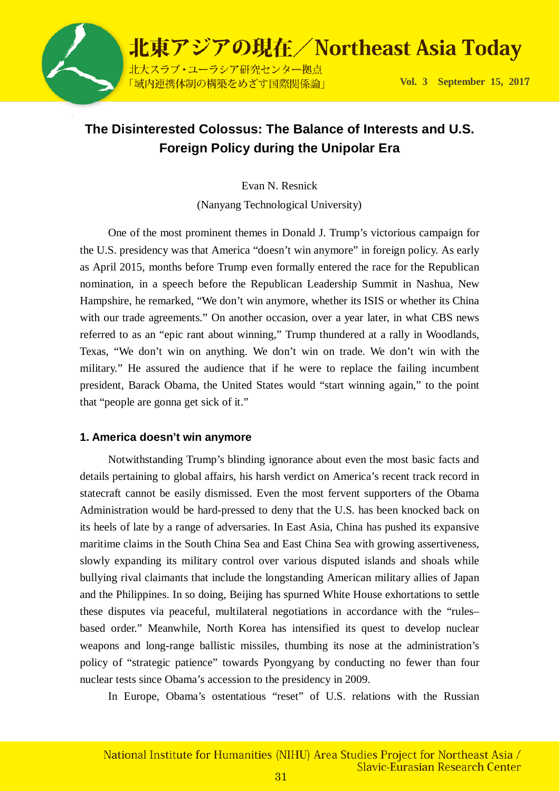

### **The Disinterested Colossus: The Balance of Interests and U.S. Foreign Policy during the Unipolar Era**

Evan N. Resnick

(Nanyang Technological University)

One of the most prominent themes in Donald J. Trump's victorious campaign for the U.S. presidency was that America "doesn't win anymore" in foreign policy. As early as April 2015, months before Trump even formally entered the race for the Republican nomination, in a speech before the Republican Leadership Summit in Nashua, New Hampshire, he remarked, "We don't win anymore, whether its ISIS or whether its China with our trade agreements." On another occasion, over a year later, in what CBS news referred to as an "epic rant about winning," Trump thundered at a rally in Woodlands, Texas, "We don't win on anything. We don't win on trade. We don't win with the military." He assured the audience that if he were to replace the failing incumbent president, Barack Obama, the United States would "start winning again," to the point that "people are gonna get sick of it."

#### **1. America doesn't win anymore**

Notwithstanding Trump's blinding ignorance about even the most basic facts and details pertaining to global affairs, his harsh verdict on America's recent track record in statecraft cannot be easily dismissed. Even the most fervent supporters of the Obama Administration would be hard-pressed to deny that the U.S. has been knocked back on its heels of late by a range of adversaries. In East Asia, China has pushed its expansive maritime claims in the South China Sea and East China Sea with growing assertiveness, slowly expanding its military control over various disputed islands and shoals while bullying rival claimants that include the longstanding American military allies of Japan and the Philippines. In so doing, Beijing has spurned White House exhortations to settle these disputes via peaceful, multilateral negotiations in accordance with the "rules– based order." Meanwhile, North Korea has intensified its quest to develop nuclear weapons and long-range ballistic missiles, thumbing its nose at the administration's policy of "strategic patience" towards Pyongyang by conducting no fewer than four nuclear tests since Obama's accession to the presidency in 2009.

In Europe, Obama's ostentatious "reset" of U.S. relations with the Russian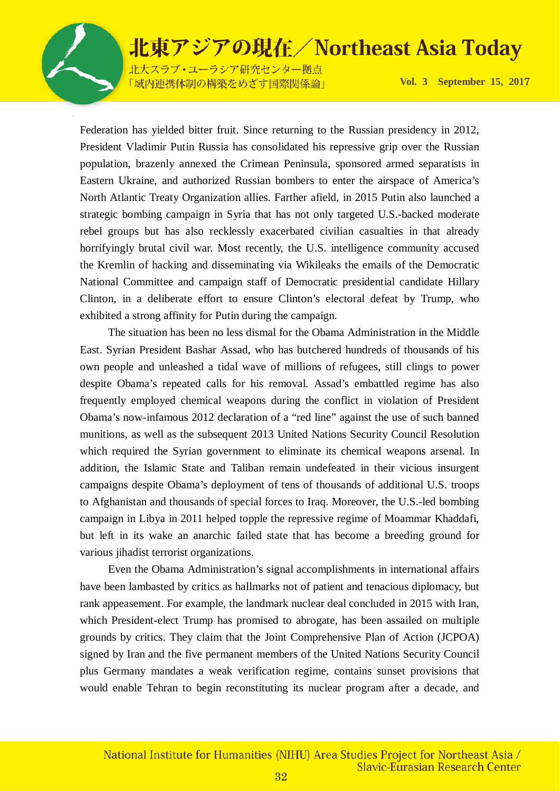

北大スラブ·ユーラシア研究センター拠点 「域内連携体制の構築をめざす国際関係論」

**Vol. 3 September 15, 201**7

Federation has yielded bitter fruit. Since returning to the Russian presidency in 2012, President Vladimir Putin Russia has consolidated his repressive grip over the Russian population, brazenly annexed the Crimean Peninsula, sponsored armed separatists in Eastern Ukraine, and authorized Russian bombers to enter the airspace of America's North Atlantic Treaty Organization allies. Farther afield, in 2015 Putin also launched a strategic bombing campaign in Syria that has not only targeted U.S.-backed moderate rebel groups but has also recklessly exacerbated civilian casualties in that already horrifyingly brutal civil war. Most recently, the U.S. intelligence community accused the Kremlin of hacking and disseminating via Wikileaks the emails of the Democratic National Committee and campaign staff of Democratic presidential candidate Hillary Clinton, in a deliberate effort to ensure Clinton's electoral defeat by Trump, who exhibited a strong affinity for Putin during the campaign.

The situation has been no less dismal for the Obama Administration in the Middle East. Syrian President Bashar Assad, who has butchered hundreds of thousands of his own people and unleashed a tidal wave of millions of refugees, still clings to power despite Obama's repeated calls for his removal. Assad's embattled regime has also frequently employed chemical weapons during the conflict in violation of President Obama's now-infamous 2012 declaration of a "red line" against the use of such banned munitions, as well as the subsequent 2013 United Nations Security Council Resolution which required the Syrian government to eliminate its chemical weapons arsenal. In addition, the Islamic State and Taliban remain undefeated in their vicious insurgent campaigns despite Obama's deployment of tens of thousands of additional U.S. troops to Afghanistan and thousands of special forces to Iraq. Moreover, the U.S.-led bombing campaign in Libya in 2011 helped topple the repressive regime of Moammar Khaddafi, but left in its wake an anarchic failed state that has become a breeding ground for various jihadist terrorist organizations.

Even the Obama Administration's signal accomplishments in international affairs have been lambasted by critics as hallmarks not of patient and tenacious diplomacy, but rank appeasement. For example, the landmark nuclear deal concluded in 2015 with Iran, which President-elect Trump has promised to abrogate, has been assailed on multiple grounds by critics. They claim that the Joint Comprehensive Plan of Action (JCPOA) signed by Iran and the five permanent members of the United Nations Security Council plus Germany mandates a weak verification regime, contains sunset provisions that would enable Tehran to begin reconstituting its nuclear program after a decade, and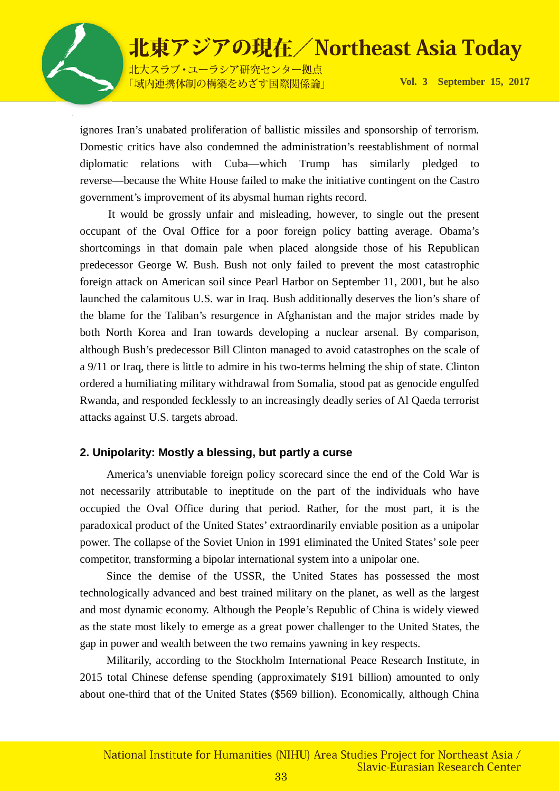

北大スラブ·ユーラシア研究センター拠点 「域内連携体制の構築をめざす国際関係論」

**Vol. 3 September 15, 201**7

ignores Iran's unabated proliferation of ballistic missiles and sponsorship of terrorism. Domestic critics have also condemned the administration's reestablishment of normal diplomatic relations with Cuba—which Trump has similarly pledged to reverse—because the White House failed to make the initiative contingent on the Castro government's improvement of its abysmal human rights record.

It would be grossly unfair and misleading, however, to single out the present occupant of the Oval Office for a poor foreign policy batting average. Obama's shortcomings in that domain pale when placed alongside those of his Republican predecessor George W. Bush. Bush not only failed to prevent the most catastrophic foreign attack on American soil since Pearl Harbor on September 11, 2001, but he also launched the calamitous U.S. war in Iraq. Bush additionally deserves the lion's share of the blame for the Taliban's resurgence in Afghanistan and the major strides made by both North Korea and Iran towards developing a nuclear arsenal. By comparison, although Bush's predecessor Bill Clinton managed to avoid catastrophes on the scale of a 9/11 or Iraq, there is little to admire in his two-terms helming the ship of state. Clinton ordered a humiliating military withdrawal from Somalia, stood pat as genocide engulfed Rwanda, and responded fecklessly to an increasingly deadly series of Al Qaeda terrorist attacks against U.S. targets abroad.

#### **2. Unipolarity: Mostly a blessing, but partly a curse**

America's unenviable foreign policy scorecard since the end of the Cold War is not necessarily attributable to ineptitude on the part of the individuals who have occupied the Oval Office during that period. Rather, for the most part, it is the paradoxical product of the United States' extraordinarily enviable position as a unipolar power. The collapse of the Soviet Union in 1991 eliminated the United States' sole peer competitor, transforming a bipolar international system into a unipolar one.

Since the demise of the USSR, the United States has possessed the most technologically advanced and best trained military on the planet, as well as the largest and most dynamic economy. Although the People's Republic of China is widely viewed as the state most likely to emerge as a great power challenger to the United States, the gap in power and wealth between the two remains yawning in key respects.

Militarily, according to the Stockholm International Peace Research Institute, in 2015 total Chinese defense spending (approximately \$191 billion) amounted to only about one-third that of the United States (\$569 billion). Economically, although China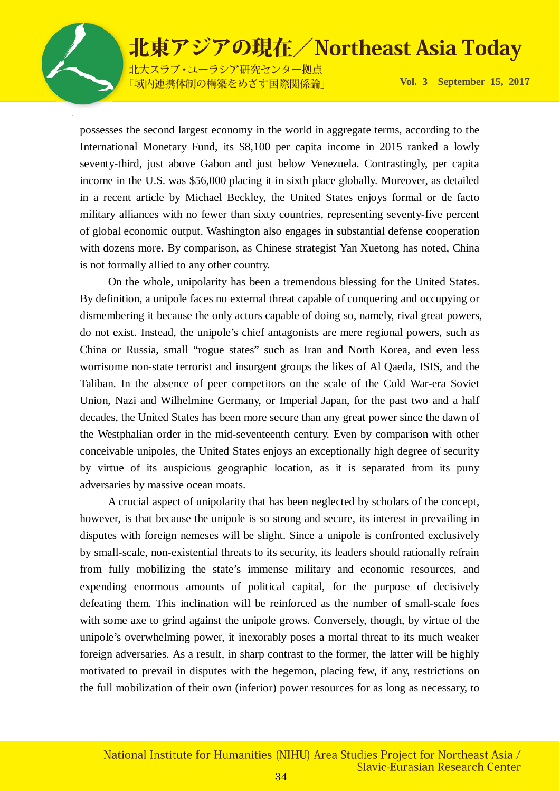

北大スラブ·ユーラシア研究センター拠点 「域内連携体制の構築をめざす国際関係論」

**Vol. 3 September 15, 201**7

possesses the second largest economy in the world in aggregate terms, according to the International Monetary Fund, its \$8,100 per capita income in 2015 ranked a lowly seventy-third, just above Gabon and just below Venezuela. Contrastingly, per capita income in the U.S. was \$56,000 placing it in sixth place globally. Moreover, as detailed in a recent article by Michael Beckley, the United States enjoys formal or de facto military alliances with no fewer than sixty countries, representing seventy-five percent of global economic output. Washington also engages in substantial defense cooperation with dozens more. By comparison, as Chinese strategist Yan Xuetong has noted, China is not formally allied to any other country.

On the whole, unipolarity has been a tremendous blessing for the United States. By definition, a unipole faces no external threat capable of conquering and occupying or dismembering it because the only actors capable of doing so, namely, rival great powers, do not exist. Instead, the unipole's chief antagonists are mere regional powers, such as China or Russia, small "rogue states" such as Iran and North Korea, and even less worrisome non-state terrorist and insurgent groups the likes of Al Qaeda, ISIS, and the Taliban. In the absence of peer competitors on the scale of the Cold War-era Soviet Union, Nazi and Wilhelmine Germany, or Imperial Japan, for the past two and a half decades, the United States has been more secure than any great power since the dawn of the Westphalian order in the mid-seventeenth century. Even by comparison with other conceivable unipoles, the United States enjoys an exceptionally high degree of security by virtue of its auspicious geographic location, as it is separated from its puny adversaries by massive ocean moats.

A crucial aspect of unipolarity that has been neglected by scholars of the concept, however, is that because the unipole is so strong and secure, its interest in prevailing in disputes with foreign nemeses will be slight. Since a unipole is confronted exclusively by small-scale, non-existential threats to its security, its leaders should rationally refrain from fully mobilizing the state's immense military and economic resources, and expending enormous amounts of political capital, for the purpose of decisively defeating them. This inclination will be reinforced as the number of small-scale foes with some axe to grind against the unipole grows. Conversely, though, by virtue of the unipole's overwhelming power, it inexorably poses a mortal threat to its much weaker foreign adversaries. As a result, in sharp contrast to the former, the latter will be highly motivated to prevail in disputes with the hegemon, placing few, if any, restrictions on the full mobilization of their own (inferior) power resources for as long as necessary, to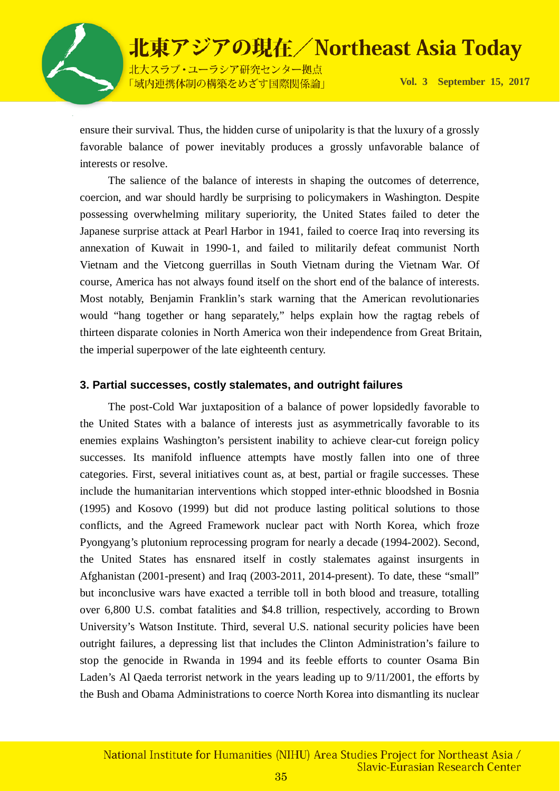

「域内連携体制の構築をめざす国際関係論」

**Vol. 3 September 15, 201**7

ensure their survival. Thus, the hidden curse of unipolarity is that the luxury of a grossly favorable balance of power inevitably produces a grossly unfavorable balance of interests or resolve.

The salience of the balance of interests in shaping the outcomes of deterrence, coercion, and war should hardly be surprising to policymakers in Washington. Despite possessing overwhelming military superiority, the United States failed to deter the Japanese surprise attack at Pearl Harbor in 1941, failed to coerce Iraq into reversing its annexation of Kuwait in 1990-1, and failed to militarily defeat communist North Vietnam and the Vietcong guerrillas in South Vietnam during the Vietnam War. Of course, America has not always found itself on the short end of the balance of interests. Most notably, Benjamin Franklin's stark warning that the American revolutionaries would "hang together or hang separately," helps explain how the ragtag rebels of thirteen disparate colonies in North America won their independence from Great Britain, the imperial superpower of the late eighteenth century.

#### **3. Partial successes, costly stalemates, and outright failures**

The post-Cold War juxtaposition of a balance of power lopsidedly favorable to the United States with a balance of interests just as asymmetrically favorable to its enemies explains Washington's persistent inability to achieve clear-cut foreign policy successes. Its manifold influence attempts have mostly fallen into one of three categories. First, several initiatives count as, at best, partial or fragile successes. These include the humanitarian interventions which stopped inter-ethnic bloodshed in Bosnia (1995) and Kosovo (1999) but did not produce lasting political solutions to those conflicts, and the Agreed Framework nuclear pact with North Korea, which froze Pyongyang's plutonium reprocessing program for nearly a decade (1994-2002). Second, the United States has ensnared itself in costly stalemates against insurgents in Afghanistan (2001-present) and Iraq (2003-2011, 2014-present). To date, these "small" but inconclusive wars have exacted a terrible toll in both blood and treasure, totalling over 6,800 U.S. combat fatalities and \$4.8 trillion, respectively, according to Brown University's Watson Institute. Third, several U.S. national security policies have been outright failures, a depressing list that includes the Clinton Administration's failure to stop the genocide in Rwanda in 1994 and its feeble efforts to counter Osama Bin Laden's Al Qaeda terrorist network in the years leading up to 9/11/2001, the efforts by the Bush and Obama Administrations to coerce North Korea into dismantling its nuclear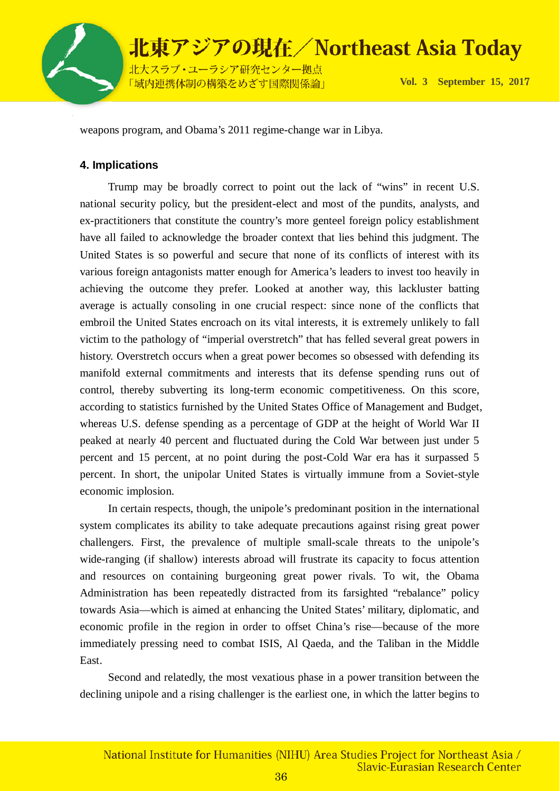

北大スラブ·ユーラシア研究センター拠点 「域内連携体制の構築をめざす国際関係論」

**Vol. 3 September 15, 201**7

weapons program, and Obama's 2011 regime-change war in Libya.

### **4. Implications**

Trump may be broadly correct to point out the lack of "wins" in recent U.S. national security policy, but the president-elect and most of the pundits, analysts, and ex-practitioners that constitute the country's more genteel foreign policy establishment have all failed to acknowledge the broader context that lies behind this judgment. The United States is so powerful and secure that none of its conflicts of interest with its various foreign antagonists matter enough for America's leaders to invest too heavily in achieving the outcome they prefer. Looked at another way, this lackluster batting average is actually consoling in one crucial respect: since none of the conflicts that embroil the United States encroach on its vital interests, it is extremely unlikely to fall victim to the pathology of "imperial overstretch" that has felled several great powers in history. Overstretch occurs when a great power becomes so obsessed with defending its manifold external commitments and interests that its defense spending runs out of control, thereby subverting its long-term economic competitiveness. On this score, according to statistics furnished by the United States Office of Management and Budget, whereas U.S. defense spending as a percentage of GDP at the height of World War II peaked at nearly 40 percent and fluctuated during the Cold War between just under 5 percent and 15 percent, at no point during the post-Cold War era has it surpassed 5 percent. In short, the unipolar United States is virtually immune from a Soviet-style economic implosion.

In certain respects, though, the unipole's predominant position in the international system complicates its ability to take adequate precautions against rising great power challengers. First, the prevalence of multiple small-scale threats to the unipole's wide-ranging (if shallow) interests abroad will frustrate its capacity to focus attention and resources on containing burgeoning great power rivals. To wit, the Obama Administration has been repeatedly distracted from its farsighted "rebalance" policy towards Asia—which is aimed at enhancing the United States' military, diplomatic, and economic profile in the region in order to offset China's rise—because of the more immediately pressing need to combat ISIS, Al Qaeda, and the Taliban in the Middle East.

Second and relatedly, the most vexatious phase in a power transition between the declining unipole and a rising challenger is the earliest one, in which the latter begins to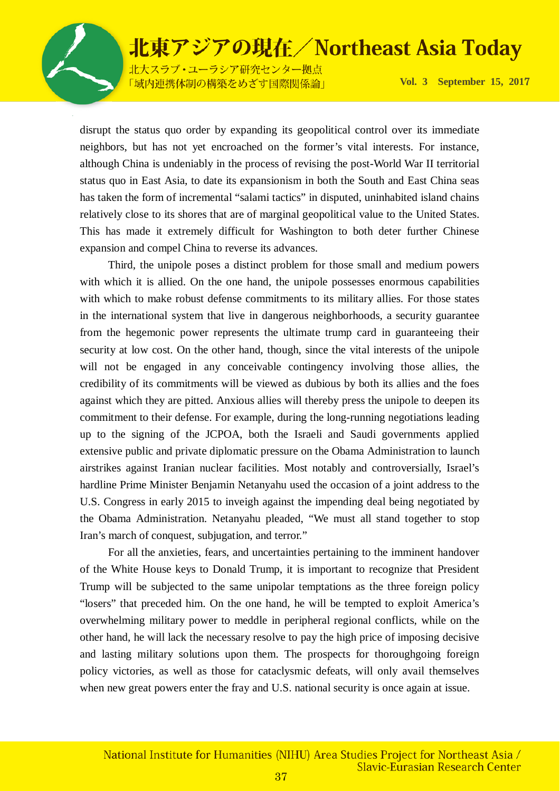北大スラブ·ユーラシア研究センター拠点 「域内連携体制の構築をめざす国際関係論」

**Vol. 3 September 15, 201**7

disrupt the status quo order by expanding its geopolitical control over its immediate neighbors, but has not yet encroached on the former's vital interests. For instance, although China is undeniably in the process of revising the post-World War II territorial status quo in East Asia, to date its expansionism in both the South and East China seas has taken the form of incremental "salami tactics" in disputed, uninhabited island chains relatively close to its shores that are of marginal geopolitical value to the United States. This has made it extremely difficult for Washington to both deter further Chinese expansion and compel China to reverse its advances.

Third, the unipole poses a distinct problem for those small and medium powers with which it is allied. On the one hand, the unipole possesses enormous capabilities with which to make robust defense commitments to its military allies. For those states in the international system that live in dangerous neighborhoods, a security guarantee from the hegemonic power represents the ultimate trump card in guaranteeing their security at low cost. On the other hand, though, since the vital interests of the unipole will not be engaged in any conceivable contingency involving those allies, the credibility of its commitments will be viewed as dubious by both its allies and the foes against which they are pitted. Anxious allies will thereby press the unipole to deepen its commitment to their defense. For example, during the long-running negotiations leading up to the signing of the JCPOA, both the Israeli and Saudi governments applied extensive public and private diplomatic pressure on the Obama Administration to launch airstrikes against Iranian nuclear facilities. Most notably and controversially, Israel's hardline Prime Minister Benjamin Netanyahu used the occasion of a joint address to the U.S. Congress in early 2015 to inveigh against the impending deal being negotiated by the Obama Administration. Netanyahu pleaded, "We must all stand together to stop Iran's march of conquest, subjugation, and terror."

For all the anxieties, fears, and uncertainties pertaining to the imminent handover of the White House keys to Donald Trump, it is important to recognize that President Trump will be subjected to the same unipolar temptations as the three foreign policy "losers" that preceded him. On the one hand, he will be tempted to exploit America's overwhelming military power to meddle in peripheral regional conflicts, while on the other hand, he will lack the necessary resolve to pay the high price of imposing decisive and lasting military solutions upon them. The prospects for thoroughgoing foreign policy victories, as well as those for cataclysmic defeats, will only avail themselves when new great powers enter the fray and U.S. national security is once again at issue.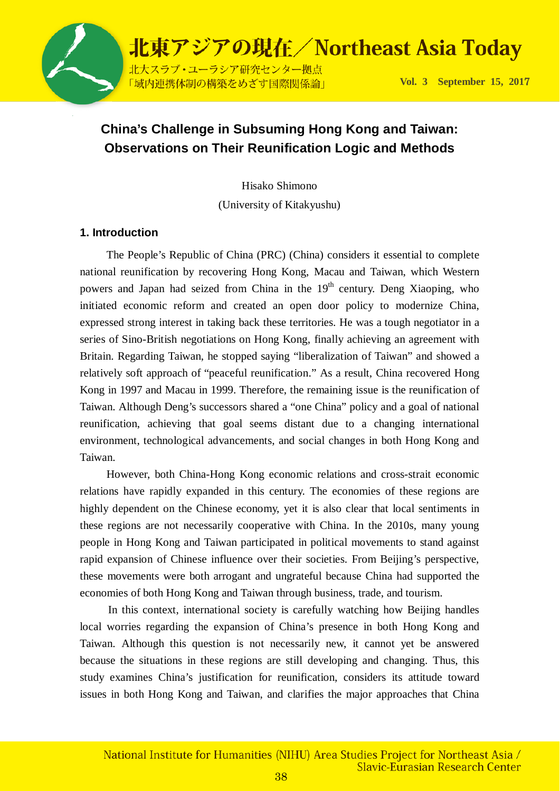

### **China's Challenge in Subsuming Hong Kong and Taiwan: Observations on Their Reunification Logic and Methods**

Hisako Shimono

(University of Kitakyushu)

### **1. Introduction**

The People's Republic of China (PRC) (China) considers it essential to complete national reunification by recovering Hong Kong, Macau and Taiwan, which Western powers and Japan had seized from China in the  $19<sup>th</sup>$  century. Deng Xiaoping, who initiated economic reform and created an open door policy to modernize China, expressed strong interest in taking back these territories. He was a tough negotiator in a series of Sino-British negotiations on Hong Kong, finally achieving an agreement with Britain. Regarding Taiwan, he stopped saying "liberalization of Taiwan" and showed a relatively soft approach of "peaceful reunification." As a result, China recovered Hong Kong in 1997 and Macau in 1999. Therefore, the remaining issue is the reunification of Taiwan. Although Deng's successors shared a "one China" policy and a goal of national reunification, achieving that goal seems distant due to a changing international environment, technological advancements, and social changes in both Hong Kong and Taiwan.

However, both China-Hong Kong economic relations and cross-strait economic relations have rapidly expanded in this century. The economies of these regions are highly dependent on the Chinese economy, yet it is also clear that local sentiments in these regions are not necessarily cooperative with China. In the 2010s, many young people in Hong Kong and Taiwan participated in political movements to stand against rapid expansion of Chinese influence over their societies. From Beijing's perspective, these movements were both arrogant and ungrateful because China had supported the economies of both Hong Kong and Taiwan through business, trade, and tourism.

In this context, international society is carefully watching how Beijing handles local worries regarding the expansion of China's presence in both Hong Kong and Taiwan. Although this question is not necessarily new, it cannot yet be answered because the situations in these regions are still developing and changing. Thus, this study examines China's justification for reunification, considers its attitude toward issues in both Hong Kong and Taiwan, and clarifies the major approaches that China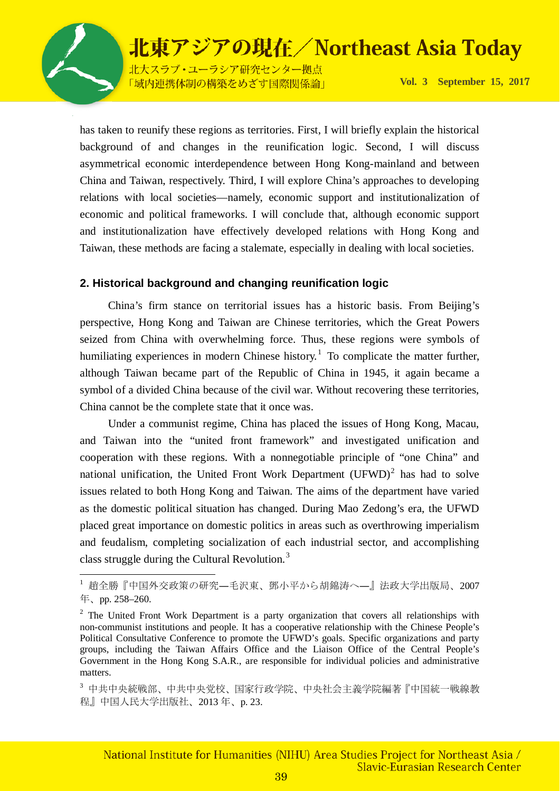

 $\overline{a}$ 

# 北東アジアの現在/Northeast Asia Today

北大スラブ·ユーラシア研究センター拠点 「域内連携体制の構築をめざす国際関係論」

**Vol. 3 September 15, 201**7

has taken to reunify these regions as territories. First, I will briefly explain the historical background of and changes in the reunification logic. Second, I will discuss asymmetrical economic interdependence between Hong Kong-mainland and between China and Taiwan, respectively. Third, I will explore China's approaches to developing relations with local societies—namely, economic support and institutionalization of economic and political frameworks. I will conclude that, although economic support and institutionalization have effectively developed relations with Hong Kong and Taiwan, these methods are facing a stalemate, especially in dealing with local societies.

### **2. Historical background and changing reunification logic**

China's firm stance on territorial issues has a historic basis. From Beijing's perspective, Hong Kong and Taiwan are Chinese territories, which the Great Powers seized from China with overwhelming force. Thus, these regions were symbols of humiliating experiences in modern Chinese history.<sup>[1](#page-38-0)</sup> To complicate the matter further, although Taiwan became part of the Republic of China in 1945, it again became a symbol of a divided China because of the civil war. Without recovering these territories, China cannot be the complete state that it once was.

Under a communist regime, China has placed the issues of Hong Kong, Macau, and Taiwan into the "united front framework" and investigated unification and cooperation with these regions. With a nonnegotiable principle of "one China" and national unification, the United Front Work Department  $(UFWD)^2$  $(UFWD)^2$  has had to solve issues related to both Hong Kong and Taiwan. The aims of the department have varied as the domestic political situation has changed. During Mao Zedong's era, the UFWD placed great importance on domestic politics in areas such as overthrowing imperialism and feudalism, completing socialization of each industrial sector, and accomplishing class struggle during the Cultural Revolution.<sup>[3](#page-38-2)</sup>

<span id="page-38-0"></span><sup>1</sup> 趙全勝『中国外交政策の研究―毛沢東、鄧小平から胡錦涛へ―』法政大学出版局、2007 年、pp. 258–260.

<span id="page-38-1"></span> $2\degree$  The United Front Work Department is a party organization that covers all relationships with non-communist institutions and people. It has a cooperative relationship with the Chinese People's Political Consultative Conference to promote the UFWD's goals. Specific organizations and party groups, including the Taiwan Affairs Office and the Liaison Office of the Central People's Government in the Hong Kong S.A.R., are responsible for individual policies and administrative matters.

<span id="page-38-2"></span><sup>3</sup> 中共中央統戦部、中共中央党校、国家行政学院、中央社会主義学院編著『中国統一戦線教 程』中国人民大学出版社、2013 年、p. 23.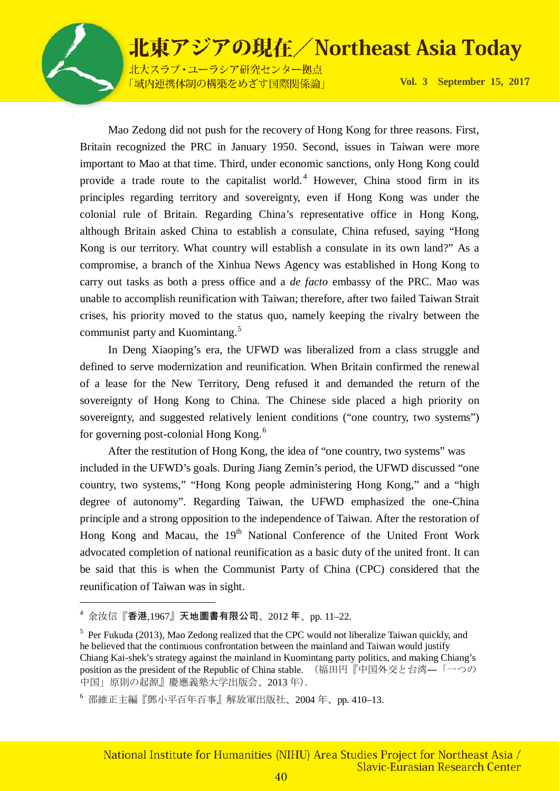

 $\overline{a}$ 

### 北東アジアの現在/Northeast Asia Today

北大スラブ·ユーラシア研究センター拠点 「域内連携体制の構築をめざす国際関係論」

**Vol. 3 September 15, 201**7

Mao Zedong did not push for the recovery of Hong Kong for three reasons. First, Britain recognized the PRC in January 1950. Second, issues in Taiwan were more important to Mao at that time. Third, under economic sanctions, only Hong Kong could provide a trade route to the capitalist world. [4](#page-39-0) However, China stood firm in its principles regarding territory and sovereignty, even if Hong Kong was under the colonial rule of Britain. Regarding China's representative office in Hong Kong, although Britain asked China to establish a consulate, China refused, saying "Hong Kong is our territory. What country will establish a consulate in its own land?" As a compromise, a branch of the Xinhua News Agency was established in Hong Kong to carry out tasks as both a press office and a *de facto* embassy of the PRC. Mao was unable to accomplish reunification with Taiwan; therefore, after two failed Taiwan Strait crises, his priority moved to the status quo, namely keeping the rivalry between the communist party and Kuomintang.<sup>[5](#page-39-1)</sup>

In Deng Xiaoping's era, the UFWD was liberalized from a class struggle and defined to serve modernization and reunification. When Britain confirmed the renewal of a lease for the New Territory, Deng refused it and demanded the return of the sovereignty of Hong Kong to China. The Chinese side placed a high priority on sovereignty, and suggested relatively lenient conditions ("one country, two systems") for governing post-colonial Hong Kong.[6](#page-39-2)

After the restitution of Hong Kong, the idea of "one country, two systems" was included in the UFWD's goals. During Jiang Zemin's period, the UFWD discussed "one country, two systems," "Hong Kong people administering Hong Kong," and a "high degree of autonomy". Regarding Taiwan, the UFWD emphasized the one-China principle and a strong opposition to the independence of Taiwan. After the restoration of Hong Kong and Macau, the 19<sup>th</sup> National Conference of the United Front Work advocated completion of national reunification as a basic duty of the united front. It can be said that this is when the Communist Party of China (CPC) considered that the reunification of Taiwan was in sight.

<span id="page-39-0"></span><sup>4</sup> 余汝信『香港,1967』天地圖書有限公司、2012 年、pp. 11–22.

<span id="page-39-1"></span><sup>&</sup>lt;sup>5</sup> Per Fukuda (2013), Mao Zedong realized that the CPC would not liberalize Taiwan quickly, and he believed that the continuous confrontation between the mainland and Taiwan would justify Chiang Kai-shek's strategy against the mainland in Kuomintang party politics, and making Chiang's position as the president of the Republic of China stable. (福田円『中国外交と台湾–「一つの 中国」原則の起源』慶應義塾大学出版会、2013 年).

<span id="page-39-2"></span><sup>6</sup> 邵維正主編『鄧小平百年百事』解放軍出版社、2004 年、pp. 410–13.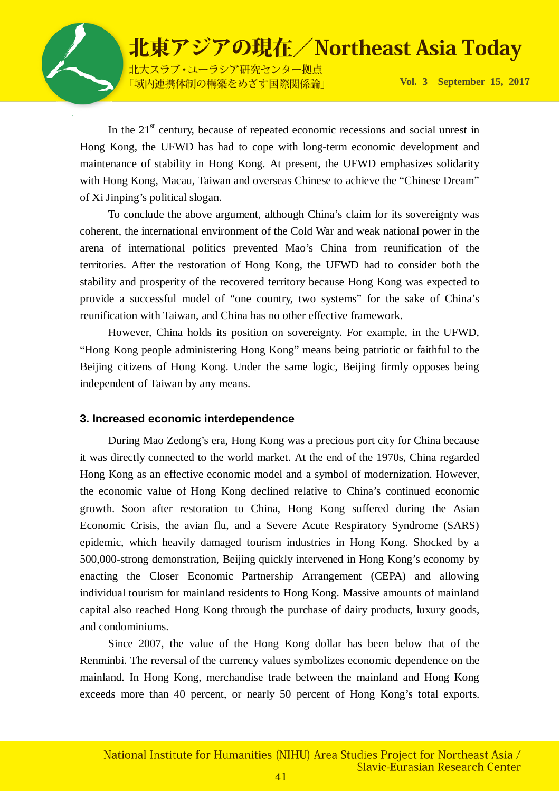

北大スラブ·ユーラシア研究センター拠点 「域内連携体制の構築をめざす国際関係論」

**Vol. 3 September 15, 201**7

In the  $21<sup>st</sup>$  century, because of repeated economic recessions and social unrest in Hong Kong, the UFWD has had to cope with long-term economic development and maintenance of stability in Hong Kong. At present, the UFWD emphasizes solidarity with Hong Kong, Macau, Taiwan and overseas Chinese to achieve the "Chinese Dream" of Xi Jinping's political slogan.

To conclude the above argument, although China's claim for its sovereignty was coherent, the international environment of the Cold War and weak national power in the arena of international politics prevented Mao's China from reunification of the territories. After the restoration of Hong Kong, the UFWD had to consider both the stability and prosperity of the recovered territory because Hong Kong was expected to provide a successful model of "one country, two systems" for the sake of China's reunification with Taiwan, and China has no other effective framework.

However, China holds its position on sovereignty. For example, in the UFWD, "Hong Kong people administering Hong Kong" means being patriotic or faithful to the Beijing citizens of Hong Kong. Under the same logic, Beijing firmly opposes being independent of Taiwan by any means.

#### **3. Increased economic interdependence**

During Mao Zedong's era, Hong Kong was a precious port city for China because it was directly connected to the world market. At the end of the 1970s, China regarded Hong Kong as an effective economic model and a symbol of modernization. However, the economic value of Hong Kong declined relative to China's continued economic growth. Soon after restoration to China, Hong Kong suffered during the Asian Economic Crisis, the avian flu, and a Severe Acute Respiratory Syndrome (SARS) epidemic, which heavily damaged tourism industries in Hong Kong. Shocked by a 500,000-strong demonstration, Beijing quickly intervened in Hong Kong's economy by enacting the Closer Economic Partnership Arrangement (CEPA) and allowing individual tourism for mainland residents to Hong Kong. Massive amounts of mainland capital also reached Hong Kong through the purchase of dairy products, luxury goods, and condominiums.

Since 2007, the value of the Hong Kong dollar has been below that of the Renminbi. The reversal of the currency values symbolizes economic dependence on the mainland. In Hong Kong, merchandise trade between the mainland and Hong Kong exceeds more than 40 percent, or nearly 50 percent of Hong Kong's total exports.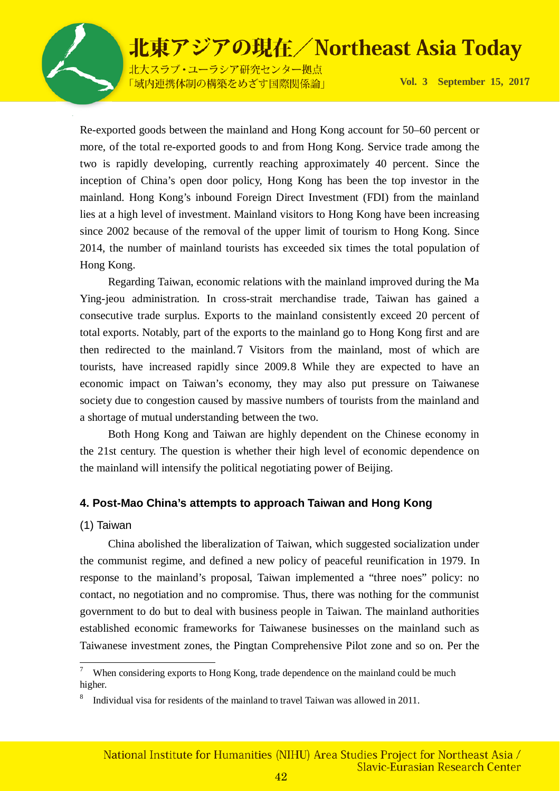

北大スラブ·ユーラシア研究センター拠点 「域内連携体制の構築をめざす国際関係論」

**Vol. 3 September 15, 201**7

Re-exported goods between the mainland and Hong Kong account for 50–60 percent or more, of the total re-exported goods to and from Hong Kong. Service trade among the two is rapidly developing, currently reaching approximately 40 percent. Since the inception of China's open door policy, Hong Kong has been the top investor in the mainland. Hong Kong's inbound Foreign Direct Investment (FDI) from the mainland lies at a high level of investment. Mainland visitors to Hong Kong have been increasing since 2002 because of the removal of the upper limit of tourism to Hong Kong. Since 2014, the number of mainland tourists has exceeded six times the total population of Hong Kong.

Regarding Taiwan, economic relations with the mainland improved during the Ma Ying-jeou administration. In cross-strait merchandise trade, Taiwan has gained a consecutive trade surplus. Exports to the mainland consistently exceed 20 percent of total exports. Notably, part of the exports to the mainland go to Hong Kong first and are then redirected to the mainland.[7](#page-41-0) Visitors from the mainland, most of which are tourists, have increased rapidly since 2009.[8](#page-41-1) While they are expected to have an economic impact on Taiwan's economy, they may also put pressure on Taiwanese society due to congestion caused by massive numbers of tourists from the mainland and a shortage of mutual understanding between the two.

Both Hong Kong and Taiwan are highly dependent on the Chinese economy in the 21st century. The question is whether their high level of economic dependence on the mainland will intensify the political negotiating power of Beijing.

#### **4. Post-Mao China's attempts to approach Taiwan and Hong Kong**

#### (1) Taiwan

China abolished the liberalization of Taiwan, which suggested socialization under the communist regime, and defined a new policy of peaceful reunification in 1979. In response to the mainland's proposal, Taiwan implemented a "three noes" policy: no contact, no negotiation and no compromise. Thus, there was nothing for the communist government to do but to deal with business people in Taiwan. The mainland authorities established economic frameworks for Taiwanese businesses on the mainland such as Taiwanese investment zones, the Pingtan Comprehensive Pilot zone and so on. Per the

<span id="page-41-0"></span><sup>-&</sup>lt;br>7 When considering exports to Hong Kong, trade dependence on the mainland could be much higher.

<span id="page-41-1"></span><sup>8</sup> Individual visa for residents of the mainland to travel Taiwan was allowed in 2011.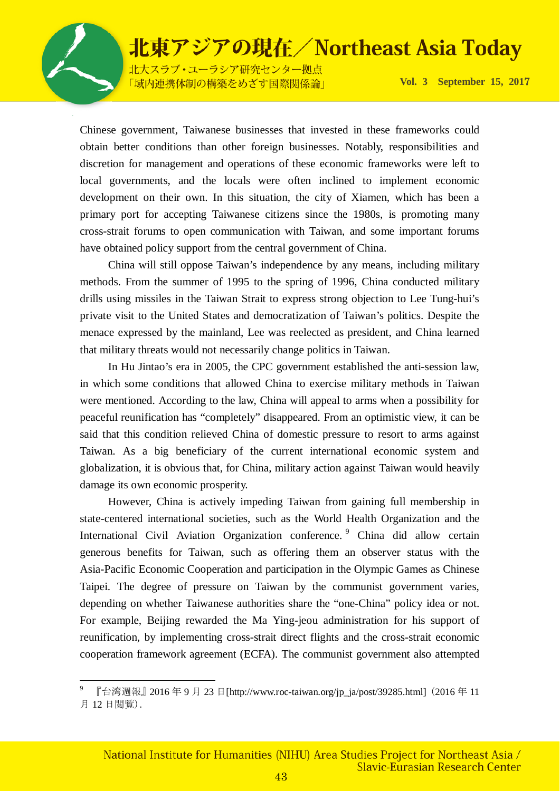

l

### 北東アジアの現在/Northeast Asia Today

北大スラブ·ユーラシア研究センター拠点 「域内連携体制の構築をめざす国際関係論」

**Vol. 3 September 15, 201**7

Chinese government, Taiwanese businesses that invested in these frameworks could obtain better conditions than other foreign businesses. Notably, responsibilities and discretion for management and operations of these economic frameworks were left to local governments, and the locals were often inclined to implement economic development on their own. In this situation, the city of Xiamen, which has been a primary port for accepting Taiwanese citizens since the 1980s, is promoting many cross-strait forums to open communication with Taiwan, and some important forums have obtained policy support from the central government of China.

China will still oppose Taiwan's independence by any means, including military methods. From the summer of 1995 to the spring of 1996, China conducted military drills using missiles in the Taiwan Strait to express strong objection to Lee Tung-hui's private visit to the United States and democratization of Taiwan's politics. Despite the menace expressed by the mainland, Lee was reelected as president, and China learned that military threats would not necessarily change politics in Taiwan.

In Hu Jintao's era in 2005, the CPC government established the anti-session law, in which some conditions that allowed China to exercise military methods in Taiwan were mentioned. According to the law, China will appeal to arms when a possibility for peaceful reunification has "completely" disappeared. From an optimistic view, it can be said that this condition relieved China of domestic pressure to resort to arms against Taiwan. As a big beneficiary of the current international economic system and globalization, it is obvious that, for China, military action against Taiwan would heavily damage its own economic prosperity.

However, China is actively impeding Taiwan from gaining full membership in state-centered international societies, such as the World Health Organization and the International Civil Aviation Organization conference.<sup>[9](#page-42-0)</sup> China did allow certain generous benefits for Taiwan, such as offering them an observer status with the Asia-Pacific Economic Cooperation and participation in the Olympic Games as Chinese Taipei. The degree of pressure on Taiwan by the communist government varies, depending on whether Taiwanese authorities share the "one-China" policy idea or not. For example, Beijing rewarded the Ma Ying-jeou administration for his support of reunification, by implementing cross-strait direct flights and the cross-strait economic cooperation framework agreement (ECFA). The communist government also attempted

<span id="page-42-0"></span><sup>9</sup> 『台湾週報』2016 年 9 月 23 日[http://www.roc-taiwan.org/jp\_ja/post/39285.html](2016 年 11 月 12 日閲覧).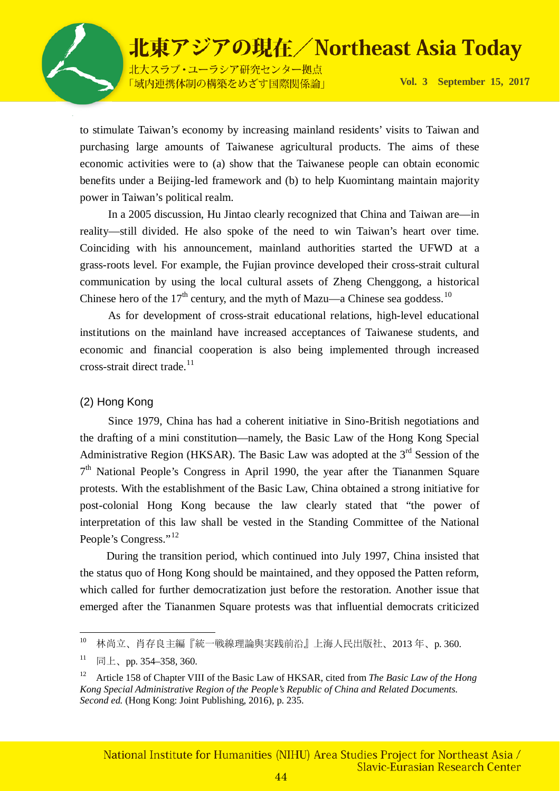

北大スラブ·ユーラシア研究センター拠点 「域内連携体制の構築をめざす国際関係論」

**Vol. 3 September 15, 201**7

to stimulate Taiwan's economy by increasing mainland residents' visits to Taiwan and purchasing large amounts of Taiwanese agricultural products. The aims of these economic activities were to (a) show that the Taiwanese people can obtain economic benefits under a Beijing-led framework and (b) to help Kuomintang maintain majority power in Taiwan's political realm.

In a 2005 discussion, Hu Jintao clearly recognized that China and Taiwan are—in reality—still divided. He also spoke of the need to win Taiwan's heart over time. Coinciding with his announcement, mainland authorities started the UFWD at a grass-roots level. For example, the Fujian province developed their cross-strait cultural communication by using the local cultural assets of Zheng Chenggong, a historical Chinese hero of the  $17<sup>th</sup>$  century, and the myth of Mazu—a Chinese sea goddess.<sup>[10](#page-43-0)</sup>

As for development of cross-strait educational relations, high-level educational institutions on the mainland have increased acceptances of Taiwanese students, and economic and financial cooperation is also being implemented through increased  $\csc$ -strait direct trade.<sup>[11](#page-43-1)</sup>

### (2) Hong Kong

 Since 1979, China has had a coherent initiative in Sino-British negotiations and the drafting of a mini constitution—namely, the Basic Law of the Hong Kong Special Administrative Region (HKSAR). The Basic Law was adopted at the  $3<sup>rd</sup>$  Session of the  $7<sup>th</sup>$  National People's Congress in April 1990, the year after the Tiananmen Square protests. With the establishment of the Basic Law, China obtained a strong initiative for post-colonial Hong Kong because the law clearly stated that "the power of interpretation of this law shall be vested in the Standing Committee of the National People's Congress."<sup>[12](#page-43-2)</sup>

During the transition period, which continued into July 1997, China insisted that the status quo of Hong Kong should be maintained, and they opposed the Patten reform, which called for further democratization just before the restoration. Another issue that emerged after the Tiananmen Square protests was that influential democrats criticized

<span id="page-43-0"></span> $10\,$ 10 林尚立、肖存良主編『統一戦線理論與実践前沿』上海人民出版社、2013 年、p. 360.

<span id="page-43-1"></span> $11$  同上、pp. 354–358, 360.

<span id="page-43-2"></span><sup>12</sup> Article 158 of Chapter VIII of the Basic Law of HKSAR, cited from *The Basic Law of the Hong Kong Special Administrative Region of the People's Republic of China and Related Documents. Second ed.* (Hong Kong: Joint Publishing, 2016), p. 235.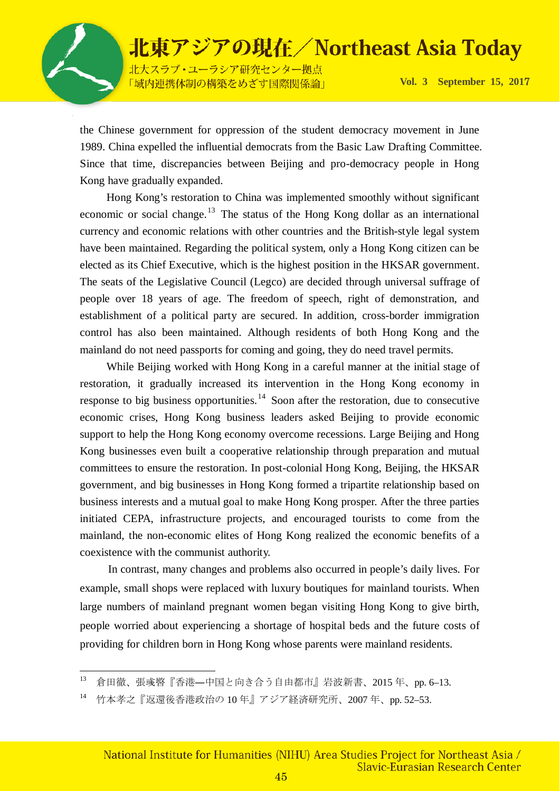

北大スラブ·ユーラシア研究センター拠点 「域内連携体制の構築をめざす国際関係論」

**Vol. 3 September 15, 201**7

the Chinese government for oppression of the student democracy movement in June 1989. China expelled the influential democrats from the Basic Law Drafting Committee. Since that time, discrepancies between Beijing and pro-democracy people in Hong Kong have gradually expanded.

Hong Kong's restoration to China was implemented smoothly without significant economic or social change.<sup>[13](#page-44-0)</sup> The status of the Hong Kong dollar as an international currency and economic relations with other countries and the British-style legal system have been maintained. Regarding the political system, only a Hong Kong citizen can be elected as its Chief Executive, which is the highest position in the HKSAR government. The seats of the Legislative Council (Legco) are decided through universal suffrage of people over 18 years of age. The freedom of speech, right of demonstration, and establishment of a political party are secured. In addition, cross-border immigration control has also been maintained. Although residents of both Hong Kong and the mainland do not need passports for coming and going, they do need travel permits.

While Beijing worked with Hong Kong in a careful manner at the initial stage of restoration, it gradually increased its intervention in the Hong Kong economy in response to big business opportunities.<sup>[14](#page-44-1)</sup> Soon after the restoration, due to consecutive economic crises, Hong Kong business leaders asked Beijing to provide economic support to help the Hong Kong economy overcome recessions. Large Beijing and Hong Kong businesses even built a cooperative relationship through preparation and mutual committees to ensure the restoration. In post-colonial Hong Kong, Beijing, the HKSAR government, and big businesses in Hong Kong formed a tripartite relationship based on business interests and a mutual goal to make Hong Kong prosper. After the three parties initiated CEPA, infrastructure projects, and encouraged tourists to come from the mainland, the non-economic elites of Hong Kong realized the economic benefits of a coexistence with the communist authority.

In contrast, many changes and problems also occurred in people's daily lives. For example, small shops were replaced with luxury boutiques for mainland tourists. When large numbers of mainland pregnant women began visiting Hong Kong to give birth, people worried about experiencing a shortage of hospital beds and the future costs of providing for children born in Hong Kong whose parents were mainland residents.

<span id="page-44-0"></span><sup>13</sup> 13 倉田徹、張彧暋『香港―中国と向き合う自由都市』岩波新書、2015 年、pp. 6–13.

<span id="page-44-1"></span><sup>14</sup> 竹本孝之『返還後香港政治の 10 年』アジア経済研究所、2007 年、pp. 52–53.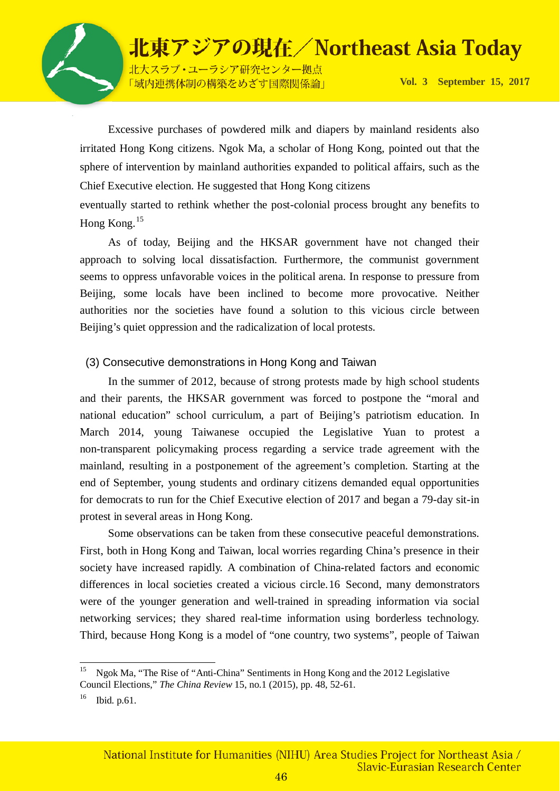

北大スラブ·ユーラシア研究センター拠点 「域内連携体制の構築をめざす国際関係論」

**Vol. 3 September 15, 201**7

Excessive purchases of powdered milk and diapers by mainland residents also irritated Hong Kong citizens. Ngok Ma, a scholar of Hong Kong, pointed out that the sphere of intervention by mainland authorities expanded to political affairs, such as the Chief Executive election. He suggested that Hong Kong citizens

eventually started to rethink whether the post-colonial process brought any benefits to Hong Kong.[15](#page-45-0)

As of today, Beijing and the HKSAR government have not changed their approach to solving local dissatisfaction. Furthermore, the communist government seems to oppress unfavorable voices in the political arena. In response to pressure from Beijing, some locals have been inclined to become more provocative. Neither authorities nor the societies have found a solution to this vicious circle between Beijing's quiet oppression and the radicalization of local protests.

#### (3) Consecutive demonstrations in Hong Kong and Taiwan

In the summer of 2012, because of strong protests made by high school students and their parents, the HKSAR government was forced to postpone the "moral and national education" school curriculum, a part of Beijing's patriotism education. In March 2014, young Taiwanese occupied the Legislative Yuan to protest a non-transparent policymaking process regarding a service trade agreement with the mainland, resulting in a postponement of the agreement's completion. Starting at the end of September, young students and ordinary citizens demanded equal opportunities for democrats to run for the Chief Executive election of 2017 and began a 79-day sit-in protest in several areas in Hong Kong.

Some observations can be taken from these consecutive peaceful demonstrations. First, both in Hong Kong and Taiwan, local worries regarding China's presence in their society have increased rapidly. A combination of China-related factors and economic differences in local societies created a vicious circle.[16](#page-45-1) Second, many demonstrators were of the younger generation and well-trained in spreading information via social networking services; they shared real-time information using borderless technology. Third, because Hong Kong is a model of "one country, two systems", people of Taiwan

<span id="page-45-0"></span>15 Ngok Ma, "The Rise of "Anti-China" Sentiments in Hong Kong and the 2012 Legislative Council Elections," *The China Review* 15, no.1 (2015), pp. 48, 52-61.

<span id="page-45-1"></span> $^{16}$  Ibid. p.61.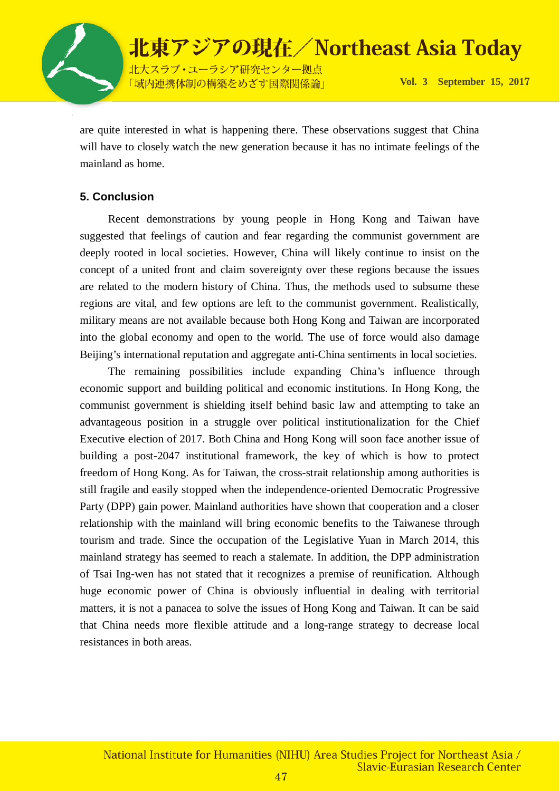

are quite interested in what is happening there. These observations suggest that China will have to closely watch the new generation because it has no intimate feelings of the mainland as home.

### **5. Conclusion**

Recent demonstrations by young people in Hong Kong and Taiwan have suggested that feelings of caution and fear regarding the communist government are deeply rooted in local societies. However, China will likely continue to insist on the concept of a united front and claim sovereignty over these regions because the issues are related to the modern history of China. Thus, the methods used to subsume these regions are vital, and few options are left to the communist government. Realistically, military means are not available because both Hong Kong and Taiwan are incorporated into the global economy and open to the world. The use of force would also damage Beijing's international reputation and aggregate anti-China sentiments in local societies.

The remaining possibilities include expanding China's influence through economic support and building political and economic institutions. In Hong Kong, the communist government is shielding itself behind basic law and attempting to take an advantageous position in a struggle over political institutionalization for the Chief Executive election of 2017. Both China and Hong Kong will soon face another issue of building a post-2047 institutional framework, the key of which is how to protect freedom of Hong Kong. As for Taiwan, the cross-strait relationship among authorities is still fragile and easily stopped when the independence-oriented Democratic Progressive Party (DPP) gain power. Mainland authorities have shown that cooperation and a closer relationship with the mainland will bring economic benefits to the Taiwanese through tourism and trade. Since the occupation of the Legislative Yuan in March 2014, this mainland strategy has seemed to reach a stalemate. In addition, the DPP administration of Tsai Ing-wen has not stated that it recognizes a premise of reunification. Although huge economic power of China is obviously influential in dealing with territorial matters, it is not a panacea to solve the issues of Hong Kong and Taiwan. It can be said that China needs more flexible attitude and a long-range strategy to decrease local resistances in both areas.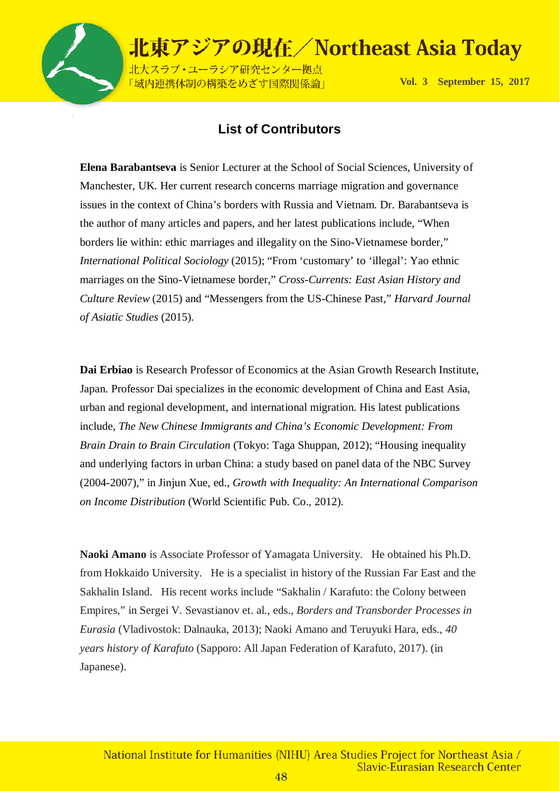

北大スラブ·ユーラシア研究センター拠点 「域内連携体制の構築をめざす国際関係論」

**Vol. 3 September 15, 201**7

### **List of Contributors**

**Elena Barabantseva** is Senior Lecturer at the School of Social Sciences, University of Manchester, UK. Her current research concerns marriage migration and governance issues in the context of China's borders with Russia and Vietnam. Dr. Barabantseva is the author of many articles and papers, and her latest publications include, "When borders lie within: ethic marriages and illegality on the Sino-Vietnamese border," *International Political Sociology* (2015); "From 'customary' to 'illegal': Yao ethnic marriages on the Sino-Vietnamese border," *Cross-Currents: East Asian History and Culture Review* (2015) and "Messengers from the US-Chinese Past," *Harvard Journal of Asiatic Studies* (2015).

**Dai Erbiao** is Research Professor of Economics at the Asian Growth Research Institute, Japan. Professor Dai specializes in the economic development of China and East Asia, urban and regional development, and international migration. His latest publications include, *The New Chinese Immigrants and China's Economic Development: From Brain Drain to Brain Circulation* (Tokyo: Taga Shuppan, 2012); "Housing inequality and underlying factors in urban China: a study based on panel data of the NBC Survey (2004-2007)," in Jinjun Xue, ed., *Growth with Inequality: An International Comparison on Income Distribution* (World Scientific Pub. Co., 2012).

**Naoki Amano** is Associate Professor of Yamagata University. He obtained his Ph.D. from Hokkaido University. He is a specialist in history of the Russian Far East and the Sakhalin Island. His recent works include "Sakhalin / Karafuto: the Colony between Empires," in Sergei V. Sevastianov et. al., eds., *Borders and Transborder Processes in Eurasia* (Vladivostok: Dalnauka, 2013); Naoki Amano and Teruyuki Hara, eds., *40 years history of Karafuto* (Sapporo: All Japan Federation of Karafuto, 2017). (in Japanese).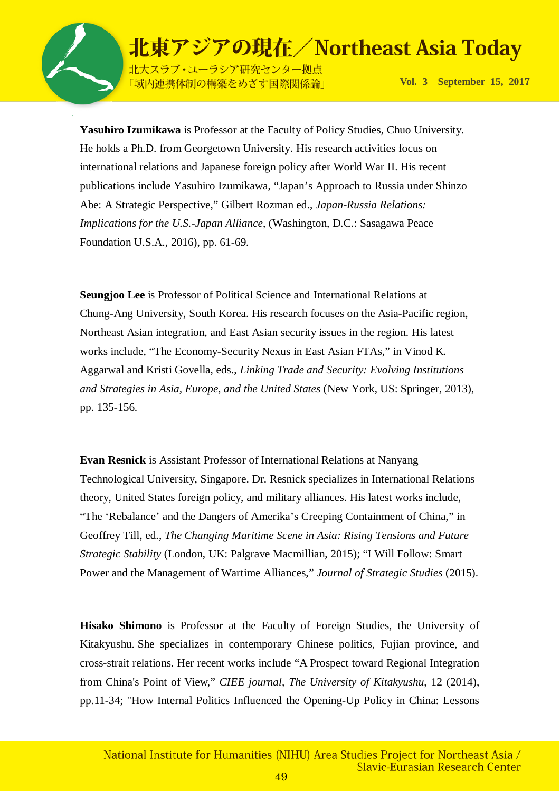

北大スラブ·ユーラシア研究センター拠点 「域内連携体制の構築をめざす国際関係論」

**Vol. 3 September 15, 201**7

**Yasuhiro Izumikawa** is Professor at the Faculty of Policy Studies, Chuo University. He holds a Ph.D. from Georgetown University. His research activities focus on international relations and Japanese foreign policy after World War II. His recent publications include Yasuhiro Izumikawa, "Japan's Approach to Russia under Shinzo Abe: A Strategic Perspective," Gilbert Rozman ed., *Japan-Russia Relations: Implications for the U.S.-Japan Alliance*, (Washington, D.C.: Sasagawa Peace Foundation U.S.A., 2016), pp. 61-69.

**Seungjoo Lee** is Professor of Political Science and International Relations at Chung-Ang University, South Korea. His research focuses on the Asia-Pacific region, Northeast Asian integration, and East Asian security issues in the region. His latest works include, "The Economy-Security Nexus in East Asian FTAs," in Vinod K. Aggarwal and Kristi Govella, eds., *Linking Trade and Security: Evolving Institutions and Strategies in Asia, Europe, and the United States* (New York, US: Springer, 2013), pp. 135-156.

**Evan Resnick** is Assistant Professor of International Relations at Nanyang Technological University, Singapore. Dr. Resnick specializes in International Relations theory, United States foreign policy, and military alliances. His latest works include, "The 'Rebalance' and the Dangers of Amerika's Creeping Containment of China," in Geoffrey Till, ed., *The Changing Maritime Scene in Asia: Rising Tensions and Future Strategic Stability* (London, UK: Palgrave Macmillian, 2015); "I Will Follow: Smart Power and the Management of Wartime Alliances," *Journal of Strategic Studies* (2015).

**Hisako Shimono** is Professor at the Faculty of Foreign Studies, the University of Kitakyushu. She specializes in contemporary Chinese politics, Fujian province, and cross-strait relations. Her recent works include "A Prospect toward Regional Integration from China's Point of View," *CIEE journal, The University of Kitakyushu*, 12 (2014), pp.11-34; "How Internal Politics Influenced the Opening-Up Policy in China: Lessons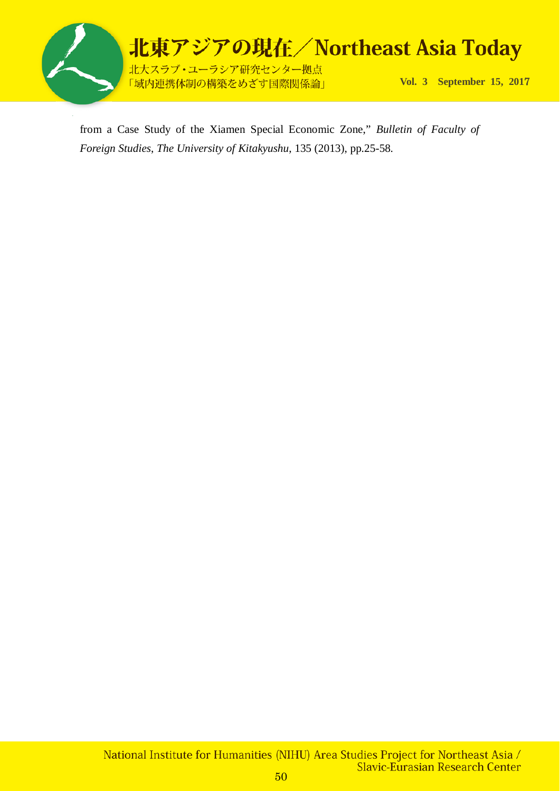

from a Case Study of the Xiamen Special Economic Zone," *Bulletin of Faculty of Foreign Studies*, *The University of Kitakyushu*, 135 (2013), pp.25-58.